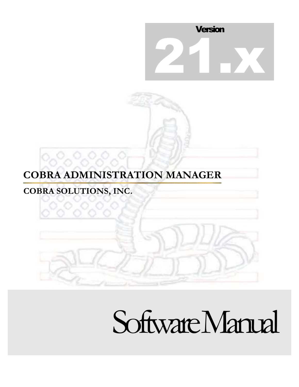

# **COBRA ADMINISTRATION MANAGER**

## **COBRA SOLUTIONS, INC.**

°್ಲ°್ಲಿ

# Software Manual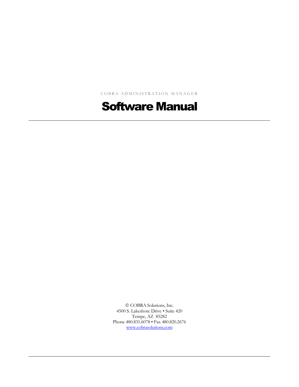COBRA ADMINISTRATION MANAGER

## Software Manual

 $©$  COBRA Solutions, Inc. 4500 S. Lakeshore Drive • Suite 420 Tempe, AZ 85282 Phone 480.831.6078 • Fax 480.820.2676 [www.cobrasolutions.com](http://www.cobra-solutions.com/)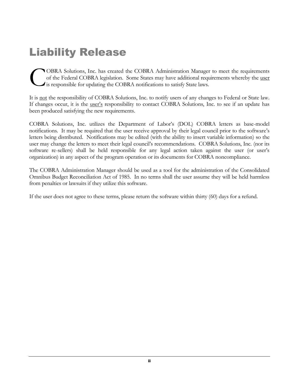# Liability Release

OBRA Solutions, Inc. has created the COBRA Administration Manager to meet the requirements of the Federal COBRA legislation. Some States may have additional requirements whereby the user is responsible for updating the COBRA notifications to satisfy State laws. C

It is not the responsibility of COBRA Solutions, Inc. to notify users of any changes to Federal or State law. If changes occur, it is the <u>user's</u> responsibility to contact COBRA Solutions, Inc. to see if an update has been produced satisfying the new requirements.

COBRA Solutions, Inc. utilizes the Department of Labor's (DOL) COBRA letters as base-model notifications. It may be required that the user receive approval by their legal council prior to the software's letters being distributed. Notifications may be edited (with the ability to insert variable information) so the user may change the letters to meet their legal council's recommendations. COBRA Solutions, Inc. (nor its software re-sellers) shall be held responsible for any legal action taken against the user (or user's organization) in any aspect of the program operation or its documents for COBRA noncompliance.

The COBRA Administration Manager should be used as a tool for the administration of the Consolidated Omnibus Budget Reconciliation Act of 1985. In no terms shall the user assume they will be held harmless from penalties or lawsuits if they utilize this software.

If the user does not agree to these terms, please return the software within thirty (60) days for a refund.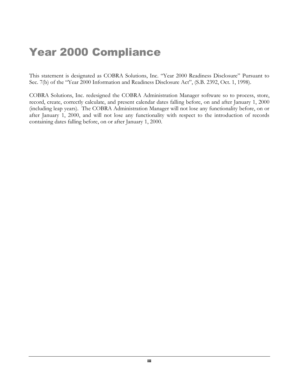# Year 2000 Compliance

This statement is designated as COBRA Solutions, Inc. "Year 2000 Readiness Disclosure" Pursuant to Sec. 7(b) of the "Year 2000 Information and Readiness Disclosure Act", (S.B. 2392, Oct. 1, 1998).

COBRA Solutions, Inc. redesigned the COBRA Administration Manager software so to process, store, record, create, correctly calculate, and present calendar dates falling before, on and after January 1, 2000 (including leap years). The COBRA Administration Manager will not lose any functionality before, on or after January 1, 2000, and will not lose any functionality with respect to the introduction of records containing dates falling before, on or after January 1, 2000.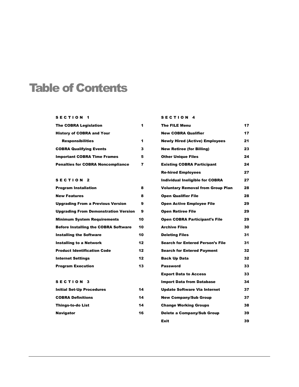## Table of Contents

#### SECTION 1

| <b>The COBRA Legislation</b>             |   |
|------------------------------------------|---|
| <b>History of COBRA and Your</b>         |   |
| <b>Responsibilities</b>                  | 1 |
| <b>COBRA Qualifying Events</b>           | 3 |
| <b>Important COBRA Time Frames</b>       | 5 |
| <b>Penalties for COBRA Noncompliance</b> | 7 |

#### SECTION<sub>2</sub>

| <b>Program Installation</b>                 | 8  |
|---------------------------------------------|----|
| <b>New Features</b>                         | 8  |
| <b>Upgrading From a Previous Version</b>    | 9  |
| <b>Upgrading From Demonstration Version</b> | 9  |
| <b>Minimum System Requirements</b>          | 10 |
| <b>Before Installing the COBRA Software</b> | 10 |
| <b>Installing the Software</b>              | 10 |
| Installing to a Network                     | 12 |
| <b>Product Identification Code</b>          | 12 |
| <b>Internet Settings</b>                    | 12 |
| <b>Program Execution</b>                    | 13 |

#### SECTION 3

| <b>Initial Set-Up Procedures</b> | 14 |
|----------------------------------|----|
| <b>COBRA Definitions</b>         | 14 |
| Thinas-to-do List                | 14 |
| <b>Navigator</b>                 | 16 |

#### SECTION 4 The FILE Menu 17 New COBRA Qualifier 17 Newly Hired (Active) Employees 21 New Retiree (for Billing) 23 Other Unique Files 24 Existing COBRA Participant 24 Re-hired Employees 27 Individual Ineligible for COBRA 27 Voluntary Removal from Group Plan 28 Open Qualifier File 28 Open Active Employee File 29 Open Retiree File 29 Open COBRA Participant's File 29 Archive Files 30 Deleting Files 31 Search for Entered Person's File 31 Search for Entered Payment 32 Back Up Data 32 Password 33 Export Data to Access 33 Import Data from Database 34 Update Software Via Internet 37 New Company/Sub Group 37 Change Working Groups 38 Delete a Company/Sub Group 39

Exit 39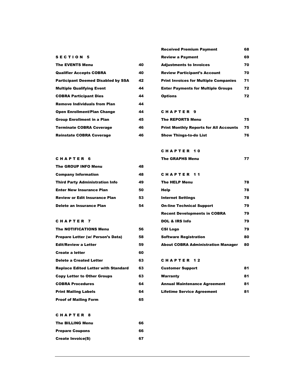|  |  |  |  |  |  | <b>SECTION 5</b> |  |
|--|--|--|--|--|--|------------------|--|
|--|--|--|--|--|--|------------------|--|

| The EVENTS Menu                     | 40 |
|-------------------------------------|----|
| <b>Qualifier Accepts COBRA</b>      | 40 |
| Participant Deemed Disabled by SSA  | 42 |
| <b>Multiple Qualifying Event</b>    | 44 |
| <b>COBRA Participant Dies</b>       | 44 |
| <b>Remove Individuals from Plan</b> | 44 |
| Open Enrollment/Plan Change         | 44 |
| Group Enrollment in a Plan          | 45 |
| Terminate COBRA Coverage            | 46 |
| Reinstate COBRA Coverage            | 46 |

| <b>Received Premium Payment</b>              | 68 |
|----------------------------------------------|----|
| <b>Review a Payment</b>                      | 69 |
| <b>Adjustments to Invoices</b>               | 70 |
| <b>Review Participant's Account</b>          | 70 |
| <b>Print Invoices for Multiple Companies</b> | 71 |
| <b>Enter Payments for Multiple Groups</b>    | 72 |
| Options                                      | 72 |

#### C H A P T E R 9

| <b>The REPORTS Menu</b>                       | 75 |
|-----------------------------------------------|----|
| <b>Print Monthly Reports for All Accounts</b> | 75 |
| <b>Show Things-to-do List</b>                 | 76 |

#### C H A P T E R 1 0

CHAPTER 11

|  |  |  | CHAPTER 6 |
|--|--|--|-----------|
|  |  |  |           |

| <b>The GROUP INFO Menu</b>             | 48 |
|----------------------------------------|----|
| <b>Company Information</b>             | 48 |
| <b>Third Party Administration Info</b> | 49 |
| <b>Enter New Insurance Plan</b>        | 50 |
| <b>Review or Edit Insurance Plan</b>   | 53 |
| Delete an Insurance Plan               | 54 |

#### CHAPTER 7

| <b>The NOTIFICATIONS Menu</b>              | 56 |
|--------------------------------------------|----|
| Prepare Letter (w/ Person's Data)          | 58 |
| <b>Edit/Review a Letter</b>                | 59 |
| <b>Create a letter</b>                     | 60 |
| <b>Delete a Created Letter</b>             | 63 |
| <b>Replace Edited Letter with Standard</b> | 63 |
| <b>Copy Letter to Other Groups</b>         | 63 |
| <b>COBRA Procedures</b>                    | 64 |
| <b>Print Mailing Labels</b>                | 64 |
| <b>Proof of Mailing Form</b>               | 65 |

#### The HELP Menu 28 Help 78 Internet Settings 78 On-line Technical Support 79

| <b>Recent Developments in COBRA</b>       | 79 |
|-------------------------------------------|----|
| <b>DOL &amp; IRS Info</b>                 | 79 |
| <b>CSI Logo</b>                           | 79 |
| <b>Software Registration</b>              | 80 |
| <b>About COBRA Administration Manager</b> | 80 |

#### CHAPTER 12

| <b>Customer Support</b>             | 81 |
|-------------------------------------|----|
| Warranty                            | 81 |
| <b>Annual Maintenance Agreement</b> | 81 |
| <b>Lifetime Service Agreement</b>   | 81 |

#### C H A P T E R 8

| The BILLING Menu         | 66 |
|--------------------------|----|
| <b>Prepare Coupons</b>   | 66 |
| <b>Create Invoice(S)</b> | 67 |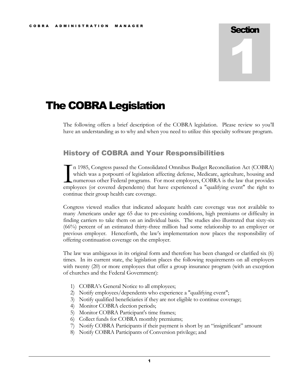# **Section** 1

## The COBRA Legislation

The following offers a brief description of the COBRA legislation. Please review so you'll have an understanding as to why and when you need to utilize this specialty software program.

#### History of COBRA and Your Responsibilities

n 1985, Congress passed the Consolidated Omnibus Budget Reconciliation Act (COBRA) which was a potpourri of legislation affecting defense, Medicare, agriculture, housing and numerous other Federal programs. For most employers, COBRA is the law that provides In 1985, Congress passed the Consolidated Omnibus Budget Reconciliation Act (COBRA) which was a potpourri of legislation affecting defense, Medicare, agriculture, housing and numerous other Federal programs. For most emplo continue their group health care coverage.

Congress viewed studies that indicated adequate health care coverage was not available to many Americans under age 65 due to pre-existing conditions, high premiums or difficulty in finding carriers to take them on an individual basis. The studies also illustrated that sixty-six (66%) percent of an estimated thirty-three million had some relationship to an employer or previous employer. Henceforth, the law's implementation now places the responsibility of offering continuation coverage on the employer.

The law was ambiguous in its original form and therefore has been changed or clarified six (6) times. In its current state, the legislation places the following requirements on all employers with twenty (20) or more employees that offer a group insurance program (with an exception of churches and the Federal Government):

- 1) COBRA's General Notice to all employees;
- 2) Notify employees/dependents who experience a "qualifying event";
- 3) Notify qualified beneficiaries if they are not eligible to continue coverage;
- 4) Monitor COBRA election periods;
- 5) Monitor COBRA Participant's time frames;
- 6) Collect funds for COBRA monthly premiums;
- 7) Notify COBRA Participants if their payment is short by an "insignificant" amount
- 8) Notify COBRA Participants of Conversion privilege; and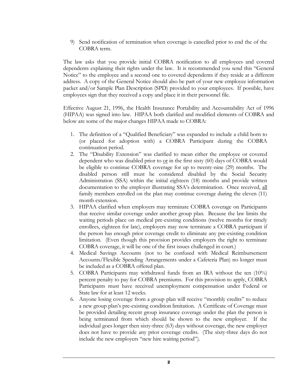9) Send notification of termination when coverage is cancelled prior to end the of the COBRA term.

The law asks that you provide initial COBRA notification to all employees and covered dependents explaining their rights under the law. It is recommended you send this "General Notice" to the employee and a second one to covered dependents if they reside at a different address. A copy of the General Notice should also be part of your new employee information packet and/or Sample Plan Description (SPD) provided to your employees. If possible, have employees sign that they received a copy and place it in their personnel file.

Effective August 21, 1996, the Health Insurance Portability and Accountability Act of 1996 (HIPAA) was signed into law. HIPAA both clarified and modified elements of COBRA and below are some of the major changes HIPAA made to COBRA:

- 1. The definition of a "Qualified Beneficiary" was expanded to include a child born to (or placed for adoption with) a COBRA Participant during the COBRA continuation period.
- 2. The "Disability Extension" was clarified to mean either the employee or covered dependent who was disabled prior to  $or$  in the first sixty (60) days of COBRA would</u> be eligible to continue COBRA coverage for up to twenty-nine (29) months. The disabled person still must be considered disabled by the Social Security Administration (SSA) within the initial eighteen (18) months and provide written documentation to the employer illustrating SSA's determination. Once received, all family members enrolled on the plan may continue coverage during the eleven (11) month extension.
- 3. HIPAA clarified when employers may terminate COBRA coverage on Participants that receive similar coverage under another group plan. Because the law limits the waiting periods place on medical pre-existing conditions (twelve months for timely enrollees, eighteen for late), employers may now terminate a COBRA participant if the person has enough prior coverage credit to eliminate any pre-existing condition limitation. (Even though this provision provides employers the right to terminate COBRA coverage, it will be one of the first issues challenged in court.)
- 4. Medical Savings Accounts (not to be confused with Medical Reimbursement Accounts/Flexible Spending Arrangements under a Cafeteria Plan) no longer must be included as a COBRA offered plan.
- 5. COBRA Participants may withdrawal funds from an IRA without the ten (10%) percent penalty to pay for COBRA premiums. For this provision to apply, COBRA Participants must have received unemployment compensation under Federal or State law for at least 12 weeks.
- 6. Anyone losing coverage from a group plan will receive "monthly credits" to reduce a new group plan's pre-existing condition limitation. A Certificate of Coverage must be provided detailing recent group insurance coverage under the plan the person is being terminated from which should be shown to the new employer. If the individual goes longer then sixty-three (63) days without coverage, the new employer does not have to provide any prior coverage credits. (The sixty-three days do not include the new employers "new hire waiting period").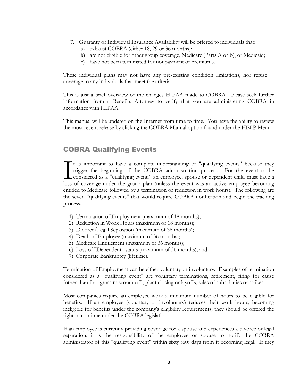- 7. Guaranty of Individual Insurance Availability will be offered to individuals that:
	- a) exhaust COBRA (either 18, 29 or 36 months);
	- b) are not eligible for other group coverage, Medicare (Parts A or B), or Medicaid;
	- c) have not been terminated for nonpayment of premiums.

These individual plans may not have any pre-existing condition limitations, nor refuse coverage to any individuals that meet the criteria.

This is just a brief overview of the changes HIPAA made to COBRA. Please seek further information from a Benefits Attorney to verify that you are administering COBRA in accordance with HIPAA.

This manual will be updated on the Internet from time to time. You have the ability to review the most recent release by clicking the COBRA Manual option found under the HELP Menu.

#### COBRA Qualifying Events

 $\mathbf{T}$  t is important to have a complete understanding of "qualifying events" because they trigger the beginning of the COBRA administration process. For the event to be considered as a "qualifying event," an employee, spouse or dependent child must have a loss of coverage under the group plan (unless the event was an active employee becoming entitled to Medicare followed by a termination or reduction in work hours). The following are the seven "qualifying events" that would require COBRA notification and begin the tracking process.  $\prod_{\text{loss}}$ 

- 1) Termination of Employment (maximum of 18 months);
- 2) Reduction in Work Hours (maximum of 18 months);
- 3) Divorce/Legal Separation (maximum of 36 months);
- 4) Death of Employee (maximum of 36 months);
- 5) Medicare Entitlement (maximum of 36 months);
- 6) Loss of "Dependent" status (maximum of 36 months); and
- 7) Corporate Bankruptcy (lifetime).

Termination of Employment can be either voluntary or involuntary. Examples of termination considered as a "qualifying event" are voluntary terminations, retirement, firing for cause (other than for "gross misconduct"), plant closing or layoffs, sales of subsidiaries or strikes

Most companies require an employee work a minimum number of hours to be eligible for benefits. If an employee (voluntary or involuntary) reduces their work hours, becoming ineligible for benefits under the company's eligibility requirements, they should be offered the right to continue under the COBRA legislation.

If an employee is currently providing coverage for a spouse and experiences a divorce or legal separation, it is the responsibility of the employee or spouse to notify the COBRA administrator of this "qualifying event" within sixty (60) days from it becoming legal. If they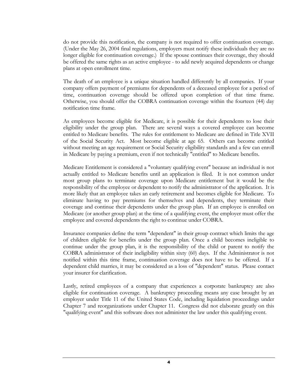do not provide this notification, the company is not required to offer continuation coverage. (Under the May 26, 2004 final regulations, employers must notify these individuals they are no longer eligible for continuation coverage.) If the spouse continues their coverage, they should be offered the same rights as an active employee - to add newly acquired dependents or change plans at open enrollment time.

The death of an employee is a unique situation handled differently by all companies. If your company offers payment of premiums for dependents of a deceased employee for a period of time, continuation coverage should be offered upon completion of that time frame. Otherwise, you should offer the COBRA continuation coverage within the fourteen (44) day notification time frame.

As employees become eligible for Medicare, it is possible for their dependents to lose their eligibility under the group plan. There are several ways a covered employee can become entitled to Medicare benefits. The rules for entitlement to Medicare are defined in Title XVII of the Social Security Act. Most become eligible at age 65. Others can become entitled without meeting an age requirement or Social Security eligibility standards and a few can enroll in Medicare by paying a premium, even if not technically "entitled" to Medicare benefits.

Medicare Entitlement is considered a "voluntary qualifying event" because an individual is not actually entitled to Medicare benefits until an application is filed. It is not common under most group plans to terminate coverage upon Medicare entitlement but it would be the responsibility of the employee or dependent to notify the administrator of the application. It is more likely that an employee takes an early retirement and becomes eligible for Medicare. To eliminate having to pay premiums for themselves and dependents, they terminate their coverage and continue their dependents under the group plan. If an employee is enrolled on Medicare (or another group plan) at the time of a qualifying event, the employer must offer the employee and covered dependents the right to continue under COBRA.

Insurance companies define the term "dependent" in their group contract which limits the age of children eligible for benefits under the group plan. Once a child becomes ineligible to continue under the group plan, it is the responsibility of the child or parent to notify the COBRA administrator of their ineligibility within sixty (60) days. If the Administrator is not notified within this time frame, continuation coverage does not have to be offered. If a dependent child marries, it may be considered as a loss of "dependent" status. Please contact your insurer for clarification.

Lastly, retired employees of a company that experiences a corporate bankruptcy are also eligible for continuation coverage. A bankruptcy proceeding means any case brought by an employer under Title 11 of the United States Code, including liquidation proceedings under Chapter 7 and reorganizations under Chapter 11. Congress did not elaborate greatly on this "qualifying event" and this software does not administer the law under this qualifying event.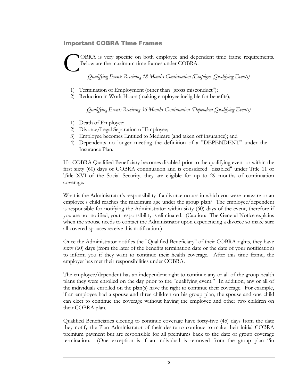#### Important COBRA Time Frames

OBRA is very specific on both employee and dependent time frame requirements. Below are the maximum time frames under COBRA. C

*Qualifying Events Receiving 18 Months Continuation (Employee Qualifying Events)*

- 1) Termination of Employment (other than "gross misconduct");
- 2) Reduction in Work Hours (making employee ineligible for benefits);

*Qualifying Events Receiving 36 Months Continuation (Dependent Qualifying Events)*

- 1) Death of Employee;
- 2) Divorce/Legal Separation of Employee;
- 3) Employee becomes Entitled to Medicare (and taken off insurance); and
- 4) Dependents no longer meeting the definition of a "DEPENDENT" under the Insurance Plan.

If a COBRA Qualified Beneficiary becomes disabled prior to the qualifying event or within the first sixty (60) days of COBRA continuation and is considered "disabled" under Title 11 or Title XVI of the Social Security, they are eligible for up to 29 months of continuation coverage.

What is the Administrator's responsibility if a divorce occurs in which you were unaware or an employee's child reaches the maximum age under the group plan? The employee/dependent is responsible for notifying the Administrator within sixty (60) days of the event, therefore if you are not notified, your responsibility is eliminated. (Caution: The General Notice explains when the spouse needs to contact the Administrator upon experiencing a divorce so make sure all covered spouses receive this notification.)

Once the Administrator notifies the "Qualified Beneficiary" of their COBRA rights, they have sixty (60) days (from the later of the benefits termination date or the date of your notification) to inform you if they want to continue their health coverage. After this time frame, the employer has met their responsibilities under COBRA.

The employee/dependent has an independent right to continue any or all of the group health plans they were enrolled on the day prior to the "qualifying event." In addition, any or all of the individuals enrolled on the plan(s) have the right to continue their coverage. For example, if an employee had a spouse and three children on his group plan, the spouse and one child can elect to continue the coverage without having the employee and other two children on their COBRA plan.

Qualified Beneficiaries electing to continue coverage have forty-five (45) days from the date they notify the Plan Administrator of their desire to continue to make their initial COBRA premium payment but are responsible for all premiums back to the date of group coverage termination. (One exception is if an individual is removed from the group plan "in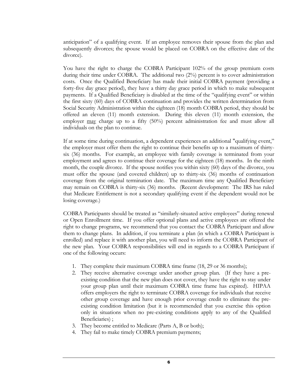anticipation" of a qualifying event. If an employee removes their spouse from the plan and subsequently divorces; the spouse would be placed on COBRA on the effective date of the divorce).

You have the right to charge the COBRA Participant 102% of the group premium costs during their time under COBRA. The additional two (2%) percent is to cover administration costs. Once the Qualified Beneficiary has made their initial COBRA payment (providing a forty-five day grace period), they have a thirty day grace period in which to make subsequent payments. If a Qualified Beneficiary is disabled at the time of the "qualifying event" or within the first sixty (60) days of COBRA continuation and provides the written determination from Social Security Administration within the eighteen (18) month COBRA period, they should be offered an eleven (11) month extension. During this eleven (11) month extension, the employer may charge up to a fifty (50%) percent administration fee and must allow all individuals on the plan to continue.

If at some time during continuation, a dependent experiences an additional "qualifying event," the employer must offer them the right to continue their benefits up to a maximum of thirtysix (36) months. For example, an employee with family coverage is terminated from your employment and agrees to continue their coverage for the eighteen (18) months. In the ninth month, the couple divorce. If the spouse notifies you within sixty (60) days of the divorce, you must offer the spouse (and covered children) up to thirty-six (36) months of continuation coverage from the original termination date. The maximum time any Qualified Beneficiary may remain on COBRA is thirty-six (36) months. (Recent development: The IRS has ruled that Medicare Entitlement is not a secondary qualifying event if the dependent would not be losing coverage.)

COBRA Participants should be treated as "similarly-situated active employees" during renewal or Open Enrollment time. If you offer optional plans and active employees are offered the right to change programs, we recommend that you contact the COBRA Participant and allow them to change plans. In addition, if you terminate a plan (in which a COBRA Participant is enrolled) and replace it with another plan, you will need to inform the COBRA Participant of the new plan. Your COBRA responsibilities will end in regards to a COBRA Participant if one of the following occurs:

- 1. They complete their maximum COBRA time frame (18, 29 or 36 months);
- 2. They receive alternative coverage under another group plan. (If they have a preexisting condition that the new plan does not cover, they have the right to stay under your group plan until their maximum COBRA time frame has expired). HIPAA offers employers the right to terminate COBRA coverage for individuals that receive other group coverage and have enough prior coverage credit to eliminate the preexisting condition limitation (but it is recommended that you exercise this option only in situations when no pre-existing conditions apply to any of the Qualified Beneficiaries) ;
- 3. They become entitled to Medicare (Parts A, B or both);
- 4. They fail to make timely COBRA premium payments;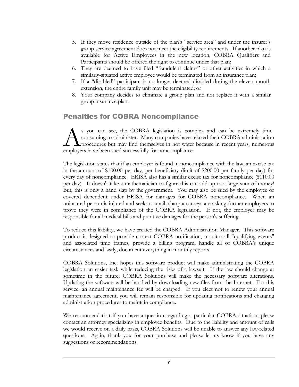- 5. If they move residence outside of the plan's "service area" and under the insurer's group service agreement does not meet the eligibility requirements. If another plan is available for Active Employees in the new location, COBRA Qualifiers and Participants should be offered the right to continue under that plan;
- 6. They are deemed to have filed "fraudulent claims" or other activities in which a similarly-situated active employee would be terminated from an insurance plan;
- 7. If a "disabled" participant is no longer deemed disabled during the eleven month extension, the entire family unit may be terminated; or
- 8. Your company decides to eliminate a group plan and not replace it with a similar group insurance plan.

#### Penalties for COBRA Noncompliance

s you can see, the COBRA legislation is complex and can be extremely timeconsuming to administer. Many companies have relaxed their COBRA administration procedures but may find themselves in hot water because in recent years, numerous s you can see, the COBRA legislation is com<br>consuming to administer. Many companies have r<br>procedures but may find themselves in hot water<br>employers have been sued successfully for noncompliance.

The legislation states that if an employer is found in noncompliance with the law, an excise tax in the amount of \$100.00 per day, per beneficiary (limit of \$200.00 per family per day) for every day of noncompliance. ERISA also has a similar excise tax for noncompliance (\$110.00 per day). It doesn't take a mathematician to figure this can add up to a large sum of money! But, this is only a hand slap by the government. You may also be sued by the employee or covered dependent under ERISA for damages for COBRA noncompliance. When an uninsured person is injured and seeks council, sharp attorneys are asking former employers to prove they were in compliance of the COBRA legislation. If not, the employer may be responsible for all medical bills and punitive damages for the person's suffering.

To reduce this liability, we have created the COBRA Administration Manager. This software product is designed to provide correct COBRA notification, monitor all "qualifying events" and associated time frames, provide a billing program, handle all of COBRA's unique circumstances and lastly, document everything in monthly reports.

COBRA Solutions, Inc. hopes this software product will make administrating the COBRA legislation an easier task while reducing the risks of a lawsuit. If the law should change at sometime in the future, COBRA Solutions will make the necessary software alterations. Updating the software will be handled by downloading new files from the Internet. For this service, an annual maintenance fee will be charged. If you elect not to renew your annual maintenance agreement, you will remain responsible for updating notifications and changing administration procedures to maintain compliance.

We recommend that if you have a question regarding a particular COBRA situation; please contact an attorney specializing in employee benefits. Due to the liability and amount of calls we would receive on a daily basis, COBRA Solutions will be unable to answer any law-related questions. Again, thank you for your purchase and please let us know if you have any suggestions or recommendations.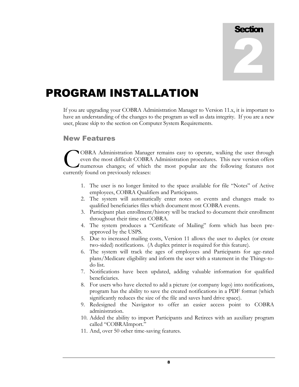

# PROGRAM INSTALLATION

If you are upgrading your COBRA Administration Manager to Version 11.x, it is important to have an understanding of the changes to the program as well as data integrity. If you are a new user, please skip to the section on Computer System Requirements.

#### New Features

OBRA Administration Manager remains easy to operate, walking the user through even the most difficult COBRA Administration procedures. This new version offers numerous changes; of which the most popular are the following features not **COBRA Administration Manage even the most difficult COBRA** numerous changes; of which currently found on previously releases:

- 1. The user is no longer limited to the space available for file "Notes" of Active employees, COBRA Qualifiers and Participants.
- 2. The system will automatically enter notes on events and changes made to qualified beneficiaries files which document most COBRA events.
- 3. Participant plan enrollment/history will be tracked to document their enrollment throughout their time on COBRA.
- 4. The system produces a "Certificate of Mailing" form which has been preapproved by the USPS.
- 5. Due to increased mailing costs, Version 11 allows the user to duplex (or create two-sided) notifications. (A duplex printer is required for this feature).
- 6. The system will track the ages of employees and Participants for age-rated plans/Medicare eligibility and inform the user with a statement in the Things-todo list.
- 7. Notifications have been updated, adding valuable information for qualified beneficiaries.
- 8. For users who have elected to add a picture (or company logo) into notifications, program has the ability to save the created notifications in a PDF format (which significantly reduces the size of the file and saves hard drive space).
- 9. Redesigned the Navigator to offer an easier access point to COBRA administration.
- 10. Added the ability to import Participants and Retirees with an auxiliary program called "COBRAImport."
- 11. And, over 50 other time-saving features.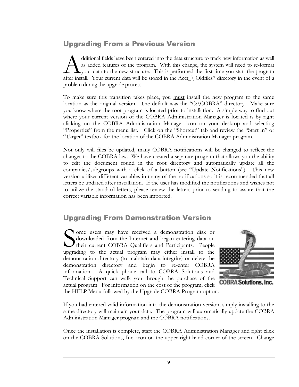## Upgrading From a Previous Version

dditional fields have been entered into the data structure to track new information as well as added features of the program. With this change, the system will need to re-format your data to the new structure. This is performed the first time you start the program dditional fields have been entered into the data structure to track new information as well<br>as added features of the program. With this change, the system will need to re-format<br>after install. Your current data will be sto problem during the upgrade process.

To make sure this transition takes place, you must install the new program to the same location as the original version. The default was the "C:\COBRA" directory. Make sure you know where the root program is located prior to installation. A simple way to find out where your current version of the COBRA Administration Manager is located is by right clicking on the COBRA Administration Manager icon on your desktop and selecting "Properties" from the menu list. Click on the "Shortcut" tab and review the "Start in" or "Target" textbox for the location of the COBRA Administration Manager program.

Not only will files be updated, many COBRA notifications will be changed to reflect the changes to the COBRA law. We have created a separate program that allows you the ability to edit the document found in the root directory and automatically update all the companies/subgroups with a click of a button (see "Update Notifications"). This new version utilizes different variables in many of the notifications so it is recommended that all letters be updated after installation. If the user has modified the notifications and wishes not to utilize the standard letters, please review the letters prior to sending to assure that the correct variable information has been imported.

## Upgrading From Demonstration Version

ome users may have received a demonstration disk or downloaded from the Internet and began entering data on their current COBRA Qualifiers and Participants. People upgrading to the actual program may either install to the demonstration directory (to maintain data integrity) or delete the demonstration directory and begin to re-enter COBRA information. A quick phone call to COBRA Solutions and Technical Support can walk you through the purchase of the actual program. For information on the cost of the program, click the HELP Menu followed by the Upgrade COBRA Program option. S



**COBRA Solutions, Inc.** 

If you had entered valid information into the demonstration version, simply installing to the same directory will maintain your data. The program will automatically update the COBRA Administration Manager program and the COBRA notifications.

Once the installation is complete, start the COBRA Administration Manager and right click on the COBRA Solutions, Inc. icon on the upper right hand corner of the screen. Change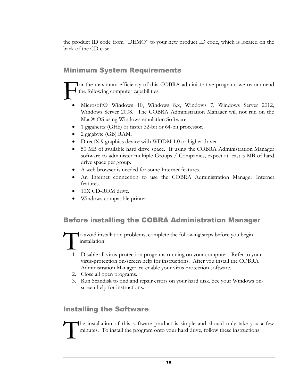the product ID code from "DEMO" to your new product ID code, which is located on the back of the CD case.

## Minimum System Requirements

or the maximum efficiency of this COBRA administrative program, we recommend the following computer capabilities: F

- Microsoft® Windows 10, Windows 8.x, Windows 7, Windows Server 2012, Windows Server 2008. The COBRA Administration Manager will not run on the Mac<sup>®</sup> OS using Windows-emulation Software.
- 1 gigahertz (GHz) or faster 32-bit or 64-bit processor.
- 2 gigabyte (GB) RAM.
- DirectX 9 graphics device with WDDM 1.0 or higher driver
- 50 MB of available hard drive space. If using the COBRA Administration Manager software to administer multiple Groups / Companies, expect at least 5 MB of hard drive space per group.
- A web browser is needed for some Internet features.
- An Internet connection to use the COBRA Administration Manager Internet features.
- 10X CD-ROM drive.
- Windows-compatible printer

## Before installing the COBRA Administration Manager

o avoid installation problems, complete the following steps before you begin installation: T

- 1. Disable all virus-protection programs running on your computer. Refer to your virus-protection on-screen help for instructions. After you install the COBRA Administration Manager, re-enable your virus protection software.
- 2. Close all open programs.
- 3. Run Scandisk to find and repair errors on your hard disk. See your Windows onscreen help for instructions.

#### Installing the Software

he installation of this software product is simple and should only take you a few minutes. To install the program onto your hard drive, follow these instructions: T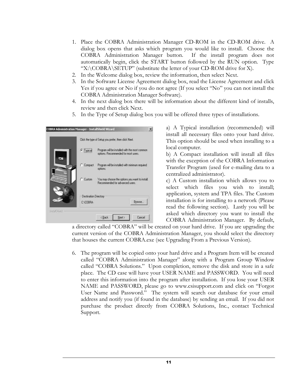- 1. Place the COBRA Administration Manager CD-ROM in the CD-ROM drive. A dialog box opens that asks which program you would like to install. Choose the COBRA Administration Manager button. If the install program does not automatically begin, click the START button followed by the RUN option. Type "X:\COBRA\SETUP" (substitute the letter of your CD-ROM drive for X).
- 2. In the Welcome dialog box, review the information, then select Next.
- 3. In the Software License Agreement dialog box, read the License Agreement and click Yes if you agree or No if you do not agree (If you select "No" you can not install the COBRA Administration Manager Software).
- 4. In the next dialog box there will be information about the different kind of installs, review and then click Next.
- 5. In the Type of Setup dialog box you will be offered three types of installations.

|                         | Click the type of Setup you prefer, then click Next.                                    |
|-------------------------|-----------------------------------------------------------------------------------------|
| <b><i>C</i></b> Typical | Program will be installed with the most common<br>aptions. Flecommended for most users. |
| Compact                 | Program will be installed with minimum required<br>aphons.                              |
| C Custom                | You may choose the options you want to install<br>Recommended for advanced users.       |
| C:VOJBRA                | Destination Directory<br>Browse.                                                        |

a) A Typical installation (recommended) will install all necessary files onto your hard drive. This option should be used when installing to a local computer.

b) A Compact installation will install all files with the exception of the COBRA Information Transfer Program (used for e-mailing data to a centralized administrator).

c) A Custom installation which allows you to select which files you wish to install; application, system and TPA files. The Custom installation is for installing to a network (Please read the following section). Lastly you will be asked which directory you want to install the COBRA Administration Manager. By default,

a directory called "COBRA" will be created on your hard drive. If you are upgrading the current version of the COBRA Administration Manager, you should select the directory that houses the current COBRA.exe (see Upgrading From a Previous Version).

6. The program will be copied onto your hard drive and a Program Item will be created called "COBRA Administration Manager" along with a Program Group Window called "COBRA Solutions." Upon completion, remove the disk and store in a safe place. The CD case will have your USER NAME and PASSWORD. You will need to enter this information into the program after installation. If you lose your USER NAME and PASSWORD, please go to www.csisupport.com and click on "Forgot User Name and Password." The system will search our database for your email address and notify you (if found in the database) by sending an email. If you did not purchase the product directly from COBRA Solutions, Inc., contact Technical Support.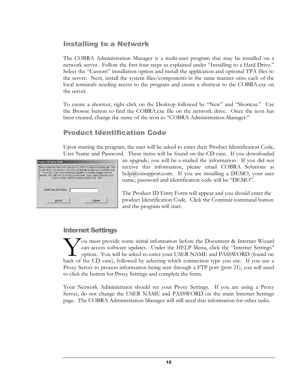#### Installing to a Network

The COBRA Administration Manager is a multi-user program that may be installed on a network server. Follow the first four steps as explained under "Installing to a Hard Drive." Select the "Custom" installation option and install the application and optional TPA files to the server. Next, install the system files/components in the same manner onto each of the local terminals needing access to the program and create a shortcut to the COBRA.exe on the server.

To create a shortcut, right click on the Desktop followed by "New" and "Shortcut." Use the Browse button to find the COBRA.exe file on the network drive. Once the icon has been created, change the name of the icon to "COBRA Administration Manager."

#### Product Identification Code

Upon starting the program, the user will be asked to enter their Product Identification Code, User Name and Password. These items will be found on the CD case. If you downloaded

|                        | Please enter the Pontuct ID Code for the DIREA Administration Manager. The<br>code will be on a sticker an the CD envelope lating with your User Name and<br>Password. If you downloaded as upgrade of the entre program from the<br>mitemet: the codes will be sent to you we email. If you demicil ind your pode.<br>cleave confact CBBRA Solutions at (803-325-1957) |
|------------------------|-------------------------------------------------------------------------------------------------------------------------------------------------------------------------------------------------------------------------------------------------------------------------------------------------------------------------------------------------------------------------|
| Enter Product ID Code: |                                                                                                                                                                                                                                                                                                                                                                         |
|                        |                                                                                                                                                                                                                                                                                                                                                                         |

an upgrade, you will be e-mailed the information. If you did not receive this information, please email COBRA Solutions at help@csisupport.com. If you are installing a DEMO, your user name, password and identification code will be "DEMO".

The Product ID Entry Form will appear and you should enter the product Identification Code. Click the Continue command button and the program will start.

#### Internet Settings

 $\sum$ ou must provide some initial information before the Document & Internet Wizard can access software updates. Under the HELP Menu, click the "Internet Settings" **L** option. You will be asked to enter your USER NAME and PASSWORD (found on Fou must provide some initial information before the Document & Internet Wizard can access software updates. Under the HELP Menu, click the "Internet Settings" option. You will be asked to enter your USER NAME and PASSWORD Proxy Server to process information being sent through a FTP port (port 21), you will need to click the button for Proxy Settings and complete the form.

Your Network Administrator should set your Proxy Settings. If you are using a Proxy Server, do not change the USER NAME and PASSWORD on the main Internet Settings page. The COBRA Administration Manager will still need that information for other tasks.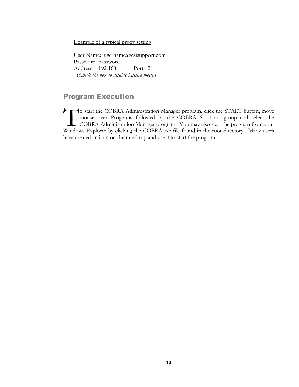Example of a typical proxy setting

User Name: username@csisupport.com Password: password Address: 192.168.1.1 Port: 21 (*Check the box to disable Passive mode*.)

#### Program Execution

o start the COBRA Administration Manager program, click the START button, move mouse over Programs followed by the COBRA Solutions group and select the COBRA Administration Manager program. You may also start the program from your Windows Explorer by clicking the COBRA.exe file found in the root directory. Many users have created an icon on their desktop and use it to start the program. T<br>Window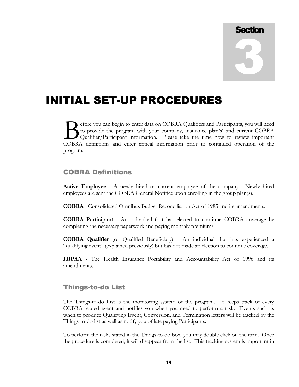

## INITIAL SET-UP PROCEDURES

efore you can begin to enter data on COBRA Qualifiers and Participants, you will need to provide the program with your company, insurance plan(s) and current COBRA Qualifier/Participant information. Please take the time now to review important COBRA definitions and enter data on COBRA Qualifiers and Participants, you will need to provide the program with your company, insurance plan(s) and current COBRA Qualifier/Participant information. Please take the time now program.

#### COBRA Definitions

**Active Employee** - A newly hired or current employee of the company. Newly hired employees are sent the COBRA General Notifice upon enrolling in the group plan(s).

**COBRA** - Consolidated Omnibus Budget Reconciliation Act of 1985 and its amendments.

**COBRA Participant** - An individual that has elected to continue COBRA coverage by completing the necessary paperwork and paying monthly premiums.

**COBRA Qualifier** (or Qualified Beneficiary) - An individual that has experienced a "qualifying event" (explained previously) but has not made an election to continue coverage.

**HIPAA** - The Health Insurance Portability and Accountability Act of 1996 and its amendments.

## Things-to-do List

The Things-to-do List is the monitoring system of the program. It keeps track of every COBRA-related event and notifies you when you need to perform a task. Events such as when to produce Qualifying Event, Conversion, and Termination letters will be tracked by the Things-to-do list as well as notify you of late paying Participants.

To perform the tasks stated in the Things-to-do box, you may double click on the item. Once the procedure is completed, it will disappear from the list. This tracking system is important in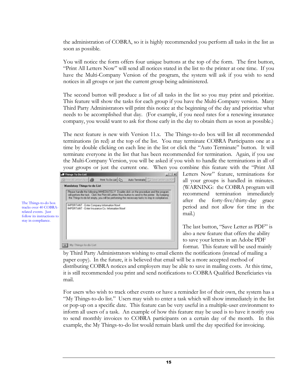the administration of COBRA, so it is highly recommended you perform all tasks in the list as soon as possible.

You will notice the form offers four unique buttons at the top of the form. The first button, "Print All Letters Now" will send all notices stated in the list to the printer at one time. If you have the Multi-Company Version of the program, the system will ask if you wish to send notices in all groups or just the current group being administered.

The second button will produce a list of all tasks in the list so you may print and prioritize. This feature will show the tasks for each group if you have the Multi-Company version. Many Third Party Administrators will print this notice at the beginning of the day and prioritize what needs to be accomplished that day. (For example, if you need rates for a renewing insurance company, you would want to ask for those early in the day to obtain them as soon as possible.)

The next feature is new with Version 11.x. The Things-to-do box will list all recommended terminations (in red) at the top of the list. You may terminate COBRA Participants one at a time by double clicking on each line in the list or click the "Auto Terminate" button. It will terminate everyone in the list that has been recommended for termination. Again, if you use the Multi-Company Version, you will be asked if you wish to handle the terminations in all of your groups or just the current one. When you combine this feature with the "Print All



Letters Now" feature, terminations for all your groups is handled in minutes. (WARNING: the COBRA program will recommend termination immediately after the forty-five/thirty-day grace period and not allow for time in the mail.)

The last button, "Save Letter as PDF" is also a new feature that offers the ability to save your letters in an Adobe PDF format. This feature will be used mainly

by Third Party Administrators wishing to email clients the notifications (instead of mailing a paper copy). In the future, it is believed that email will be a more accepted method of distributing COBRA notices and employers may be able to save in mailing costs. At this time, it is still recommended you print and send notifications to COBRA Qualified Beneficiaries via mail.

For users who wish to track other events or have a reminder list of their own, the system has a "My Things-to-do list." Users may wish to enter a task which will show immediately in the list or pop-up on a specific date. This feature can be very useful in a multiple-user environment to inform all users of a task. An example of how this feature may be used is to have it notify you to send monthly invoices to COBRA participants on a certain day of the month. In this example, the My Things-to-do list would remain blank until the day specified for invoicing.

The Things-to-do box tracks over 40 COBRArelated events. Just follow its instructions to stay in compliance.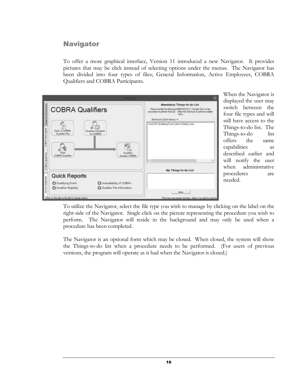#### **Navigator**

To offer a more graphical interface, Version 11 introduced a new Navigator. It provides pictures that may be click instead of selecting options under the menus. The Navigator has been divided into four types of files; General Information, Active Employees, COBRA Qualifiers and COBRA Participants.



When the Navigator is displayed the user may switch between the four file types and will still have access to the Things-to-do list. The Things-to-do list offers the same capabilities as described earlier and will notify the user when administrative procedures are needed.

To utilize the Navigator, select the file type you wish to manage by clicking on the label on the right-side of the Navigator. Single click on the picture representing the procedure you wish to perform. The Navigator will reside in the background and may only be used when a procedure has been completed.

The Navigator is an optional form which may be closed. When closed, the system will show the Things-to-do list when a procedure needs to be performed. (For users of previous versions, the program will operate as it had when the Navigator is closed.)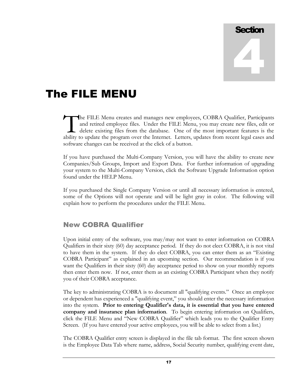# **Section** 4

# The FILE MENU

he FILE Menu creates and manages new employees, COBRA Qualifier, Participants and retired employee files. Under the FILE Menu, you may create new files, edit or delete existing files from the database. One of the most important features is the The FILE Menu creates and manages new employees, COBRA Qualifier, Participants and retired employee files. Under the FILE Menu, you may create new files, edit or delete existing files from the database. One of the most imp software changes can be received at the click of a button.

If you have purchased the Multi-Company Version, you will have the ability to create new Companies/Sub Groups, Import and Export Data. For further information of upgrading your system to the Multi-Company Version, click the Software Upgrade Information option found under the HELP Menu.

If you purchased the Single Company Version or until all necessary information is entered, some of the Options will not operate and will be light gray in color. The following will explain how to perform the procedures under the FILE Menu.

#### New COBRA Qualifier

Upon initial entry of the software, you may/may not want to enter information on COBRA Qualifiers in their sixty (60) day acceptance period. If they do not elect COBRA, it is not vital to have them in the system. If they do elect COBRA, you can enter them as an "Existing COBRA Participant" as explained in an upcoming section. Our recommendation is if you want the Qualifiers in their sixty (60) day acceptance period to show on your monthly reports then enter them now. If not, enter them as an existing COBRA Participant when they notify you of their COBRA acceptance.

The key to administrating COBRA is to document all "qualifying events." Once an employee or dependent has experienced a "qualifying event," you should enter the necessary information into the system. **Prior to entering Qualifier's data, it is essential that you have entered company and insurance plan information**. To begin entering information on Qualifiers, click the FILE Menu and "New COBRA Qualifier" which leads you to the Qualifier Entry Screen. (If you have entered your active employees, you will be able to select from a list.)

The COBRA Qualifier entry screen is displayed in the file tab format. The first screen shown is the Employee Data Tab where name, address, Social Security number, qualifying event date,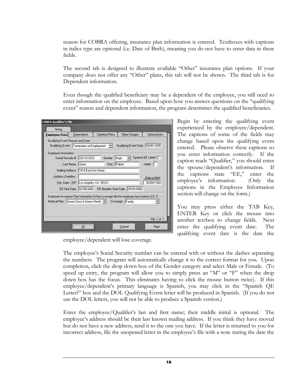reason for COBRA offering, insurance plan information is entered. Textboxes with captions in italics type are optional (i.e. Date of Birth), meaning you do not have to enter data in these fields.

The second tab is designed to illustrate available "Other" insurance plan options. If your company does not offer any "Other" plans, this tab will not be shown. The third tab is for Dependent information.

Even though the qualified beneficiary may be a dependent of the employee, you still need to enter information on the employee. Based upon how you answer questions on the "qualifying event" reason and dependent information, the program determines the qualified beneficiaries.

| Gualitying Event Reason and Date<br>Gualitying Event.   Tenuriation of Employment.   M. Gualitying Event Date: 03/01/2005                                              |                                  |              |                                    |
|------------------------------------------------------------------------------------------------------------------------------------------------------------------------|----------------------------------|--------------|------------------------------------|
| Employee Information<br>Social Security # 222-20-2222 Gender: Muje = Spanish QE Letter?                                                                                | Last Name: Jones - First: Pobert | <b>Index</b> |                                    |
| Maling Address 1414 East Avit Street<br>Address Overdoor<br>City, State 20th, Los Angeles, CA SECOD<br>EE Hire Date: (02/05/2002) EE Benefits Start Date: (24/01/2002) |                                  |              | <b>Dire of Birth</b><br>03/05/1996 |
| Engloyee Insurance Plan Intomation (what coverage did the engloyee have belore Q.E.7).<br>Medical Plan:   Gwen Cxsr: & Dienn Sheld   Y   Coverage:   Family            |                                  |              |                                    |

employee/dependent will lose coverage.

Begin by entering the qualifying event experienced by the employee/dependent. The captions of some of the fields may change based upon the qualifying event entered. Please observe these captions so you enter information correctly. If the caption reads "Qualifier," you should enter the spouse/dependent's information. If the captions state "EE," enter the employee's information. (Only the captions in the Employee Information section will change on the form.)

You may press either the TAB Key, ENTER Key or click the mouse into another textbox to change fields. Next enter the qualifying event date. The qualifying event date is the date the

The employee's Social Security number can be entered with or without the dashes separating the numbers. The program will automatically change it to the correct format for you. Upon completion, click the drop down box of the Gender category and select Male or Female. (To speed up entry, the program will allow you to simply press an "M" or "F" when the drop down box has the focus. This eliminates having to click the mouse button twice). If this employee/dependent's primary language is Spanish, you may click in the "Spanish QE Letter?" box and the DOL Qualifying Event letter will be produced in Spanish. (If you do not use the DOL letters, you will not be able to produce a Spanish version.)

Enter the employee/Qualifier's last and first name; their middle initial is optional. The employee's address should be their last known mailing address. If you think they have moved but do not have a new address, send it to the one you have. If the letter is returned to you for incorrect address, file the unopened letter in the employee's file with a note stating the date the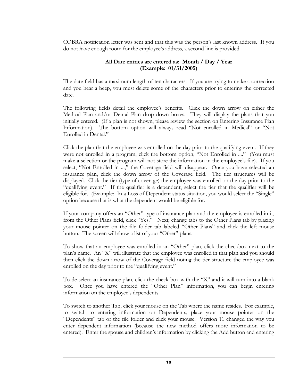COBRA notification letter was sent and that this was the person's last known address. If you do not have enough room for the employee's address, a second line is provided.

#### **All Date entries are entered as: Month / Day / Year (Example: 01/31/2005)**

The date field has a maximum length of ten characters. If you are trying to make a correction and you hear a beep, you must delete some of the characters prior to entering the corrected date.

The following fields detail the employee's benefits. Click the down arrow on either the Medical Plan and/or Dental Plan drop down boxes. They will display the plans that you initially entered. (If a plan is not shown, please review the section on Entering Insurance Plan Information). The bottom option will always read "Not enrolled in Medical" or "Not Enrolled in Dental."

Click the plan that the employee was enrolled on the day prior to the qualifying event. If they were not enrolled in a program, click the bottom option, "Not Enrolled in ...." (You must make a selection or the program will not store the information in the employee's file). If you select, "Not Enrolled in ...," the Coverage field will disappear. Once you have selected an insurance plan, click the down arrow of the Coverage field. The tier structures will be displayed. Click the tier (type of coverage) the employee was enrolled on the day prior to the "qualifying event." If the qualifier is a dependent, select the tier that the qualifier will be eligible for. (Example: In a Loss of Dependent status situation, you would select the "Single" option because that is what the dependent would be eligible for.

If your company offers an "Other" type of insurance plan and the employee is enrolled in it, from the Other Plans field, click "Yes." Next, change tabs to the Other Plans tab by placing your mouse pointer on the file folder tab labeled "Other Plans" and click the left mouse button. The screen will show a list of your "Other" plans.

To show that an employee was enrolled in an "Other" plan, click the checkbox next to the plan's name. An "X" will illustrate that the employee was enrolled in that plan and you should then click the down arrow of the Coverage field noting the tier structure the employee was enrolled on the day prior to the "qualifying event."

To de-select an insurance plan, click the check box with the "X" and it will turn into a blank box. Once you have entered the "Other Plan" information, you can begin entering information on the employee's dependents.

To switch to another Tab, click your mouse on the Tab where the name resides. For example, to switch to entering information on Dependents, place your mouse pointer on the "Dependents" tab of the file folder and click your mouse. Version 11 changed the way you enter dependent information (because the new method offers more information to be entered). Enter the spouse and children's information by clicking the Add button and entering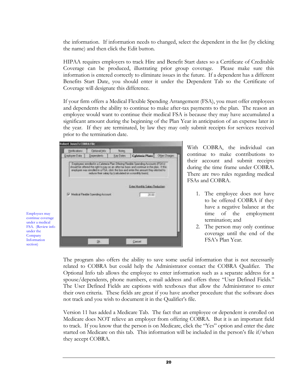the information. If information needs to changed, select the dependent in the list (by clicking the name) and then click the Edit button.

HIPAA requires employers to track Hire and Benefit Start dates so a Certificate of Creditable Coverage can be produced, illustrating prior group coverage. Please make sure this information is entered correctly to eliminate issues in the future. If a dependent has a different Benefits Start Date, you should enter it under the Dependent Tab so the Certificate of Coverage will designate this difference.

If your firm offers a Medical Flexible Spending Arrangement (FSA), you must offer employees and dependents the ability to continue to make after-tax payments to the plan. The reason an employee would want to continue their medical FSA is because they may have accumulated a significant amount during the beginning of the Plan Year in anticipation of an expense later in the year. If they are terminated, by law they may only submit receipts for services received prior to the termination date.



With COBRA, the individual can continue to make contributions to their account and submit receipts during the time frame under COBRA. There are two rules regarding medical FSAs and COBRA.

- 1. The employee does not have to be offered COBRA if they have a negative balance at the time of the employment termination; and
- 2. The person may only continue coverage until the end of the FSA's Plan Year.

The program also offers the ability to save some useful information that is not necessarily related to COBRA but could help the Administrator contact the COBRA Qualifier. The Optional Info tab allows the employee to enter information such as a separate address for a spouse/dependents, phone numbers, e-mail address and offers three "User Defined Fields." The User Defined Fields are captions with textboxes that allow the Administrator to enter their own criteria. These fields are great if you have another procedure that the software does not track and you wish to document it in the Qualifier's file.

Version 11 has added a Medicare Tab. The fact that an employee or dependent is enrolled on Medicare does NOT relieve an employer from offering COBRA. But it is an important field to track. If you know that the person is on Medicare, click the "Yes" option and enter the date started on Medicare on this tab. This information will be included in the person's file if/when they accept COBRA.

Employees may continue coverage under a medical FSA. (Review info under the Company Information section)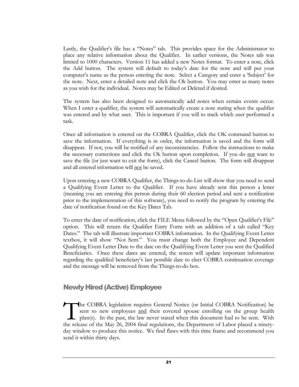Lastly, the Qualifier's file has a "Notes" tab. This provides space for the Administrator to place any relative information about the Qualifier. In earlier versions, the Notes tab was limited to 1000 characters. Version 11 has added a new Notes format. To enter a note, click the Add button. The system will default to today's date for the note and will put your computer's name as the person entering the note. Select a Category and enter a 'Subject' for the note. Next, enter a detailed note and click the Ok button. You may enter as many notes as you wish for the individual. Notes may be Edited or Deleted if desired.

The system has also been designed to automatically add notes when certain events occur. When I enter a qualifier, the system will automatically create a note stating when the qualifier was entered and by what user. This is important if you will to track which user performed a task.

Once all information is entered on the COBRA Qualifier, click the OK command button to save the information. If everything is in order, the information is saved and the form will disappear. If not, you will be notified of any inconsistencies. Follow the instructions to make the necessary corrections and click the Ok button upon completion. If you do not want to save the file (or just want to exit the form), click the Cancel button. The form will disappear and all entered information will not be saved.

Upon entering a new COBRA Qualifier, the Things-to-do List will show that you need to send a Qualifying Event Letter to the Qualifier. If you have already sent this person a letter (meaning you are entering this person during their 60 election period and sent a notification prior to the implementation of this software), you need to notify the program by entering the date of notification found on the Key Dates Tab.

To enter the date of notification, click the FILE Menu followed by the "Open Qualifier's File" option. This will return the Qualifier Entry Form with an addition of a tab called "Key Dates." The tab will illustrate important COBRA information. In the Qualifying Event Letter textbox, it will show "Not Sent." You must change both the Employee and Dependent Qualifying Event Letter Date to the date on the Qualifying Event Letter you sent the Qualified Beneficiaries. Once these dates are entered, the screen will update important information regarding the qualified beneficiary's last possible date to elect COBRA continuation coverage and the message will be removed from the Things-to-do box.

#### Newly Hired (Active) Employee

he COBRA legislation requires General Notice (or Initial COBRA Notification) be sent to new employees and their covered spouse enrolling on the group health plan(s). In the past, the law never stated when this document had to be sent. With the release of the May 26, 2004 final regulations, the Department of Labor placed a ninetyday window to produce this notice. We find flaws with this time frame and recommend you send it within thirty days.  $\prod_{\text{the rel}$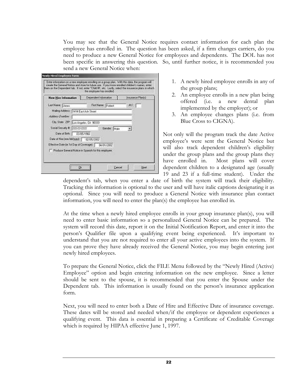You may see that the General Notice requires contact information for each plan the employee has enrolled in. The question has been asked, if a firm changes carriers, do you need to produce a new General Notice for employees and dependents. The DOL has not been specific in answering this question. So, until further notice, it is recommended you send a new General Notice when:

| New Hire Information                                 | Dependent Information<br>Insurance Plank()           |
|------------------------------------------------------|------------------------------------------------------|
| Last Name: Lones                                     | ML<br>Fest Name: Disched                             |
| Maling Addess: [1414 Eqst Ash Street                 |                                                      |
| Address Directors                                    |                                                      |
| City, State 20P: Los Angeles, EA 90333               |                                                      |
| Social Security # 222-22222                          | <b>Gender Italy</b>                                  |
| Date of Birth:   03/05/1966                          |                                                      |
| Date of Hire (wav/dd/jsys) covres/2002               |                                                      |
| Effective Date (in Tut Day of Coverage) [ 04/01/2002 |                                                      |
|                                                      | Produce General Notice in Spanish for this engiquee. |

- 1. A newly hired employee enrolls in any of the group plans;
- 2. An employee enrolls in a new plan being offered (i.e. a new dental plan implemented by the employer); or
- 3. An employee changes plans (i.e. from Blue Cross to CIGNA).

Not only will the program track the date Active employee's were sent the General Notice but will also track dependent children's eligibility under the group plans and the group plans they have enrolled in. Most plans will cover dependent children to a designated age (usually 19 and 23 if a full-time student). Under the

dependent's tab, when you enter a date of birth the system will track their eligibility. Tracking this information is optional to the user and will have italic captions designating it as optional. Since you will need to produce a General Notice with insurance plan contact information, you will need to enter the plan(s) the employee has enrolled in.

At the time when a newly hired employee enrolls in your group insurance plan(s), you will need to enter basic information so a personalized General Notice can be prepared. The system will record this date, report it on the Initial Notification Report, and enter it into the person's Qualifier file upon a qualifying event being experienced. It's important to understand that you are not required to enter all your active employees into the system. If you can prove they have already received the General Notice, you may begin entering just newly hired employees.

To prepare the General Notice, click the FILE Menu followed by the "Newly Hired (Active) Employee" option and begin entering information on the new employee. Since a letter should be sent to the spouse, it is recommended that you enter the Spouse under the Dependent tab. This information is usually found on the person's insurance application form.

Next, you will need to enter both a Date of Hire and Effective Date of insurance coverage. These dates will be stored and needed when/if the employee or dependent experiences a qualifying event. This data is essential in preparing a Certificate of Creditable Coverage which is required by HIPAA effective June 1, 1997.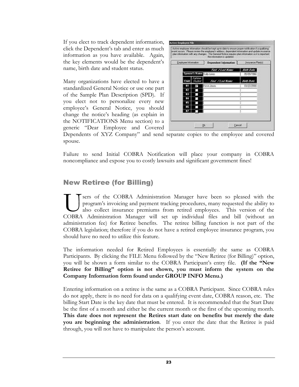If you elect to track dependent information, click the Dependent's tab and enter as much information as you have available. Again, the key elements would be the dependent's name, birth date and student status.

Many organizations have elected to have a standardized General Notice or use one part of the Sample Plan Description (SPD). If you elect not to personalize every new employee's General Notice, you should change the notice's heading (as explain in the NOTIFICATIONS Menu section) to a generic "Dear Employee and Covered

| Employee Information |                           | <b>Dependent Information</b> | <b>Insurance Planis!</b> |
|----------------------|---------------------------|------------------------------|--------------------------|
|                      |                           | Fast / Last Name             | <b>Birth Date</b>        |
|                      | spouse a hannel Salutores |                              | 05/09/1986               |
| Ghild.               | <b>FixEdow</b><br>504800  | <b>Fast / Lost Name</b>      | Birth Date               |
| H                    |                           | Kevin Jones                  | 11/22/2000               |
| ᄨ                    |                           |                              |                          |
| 113                  |                           |                              |                          |
| ш                    |                           |                              |                          |
| щ                    |                           |                              |                          |
| ĦВ                   |                           |                              |                          |

Dependents of XYZ Company" and send separate copies to the employee and covered spouse.

Failure to send Initial COBRA Notification will place your company in COBRA noncompliance and expose you to costly lawsuits and significant government fines!

#### New Retiree (for Billing)

sers of the COBRA Administration Manager have been so pleased with the program's invoicing and payment tracking procedures, many requested the ability to also collect insurance premiums from retired employees. This version of the Sers of the COBRA Administration Manager have been so pleased with the program's invoicing and payment tracking procedures, many requested the ability to also collect insurance premiums from retired employees. This version administration fee) for Retiree benefits. The retiree billing function is not part of the COBRA legislation; therefore if you do not have a retired employee insurance program, you should have no need to utilize this feature.

The information needed for Retired Employees is essentially the same as COBRA Participants. By clicking the FILE Menu followed by the "New Retiree (for Billing)" option, you will be shown a form similar to the COBRA Participant's entry file. **(If the "New Retiree for Billing" option is not shown, you must inform the system on the Company Information form found under GROUP INFO Menu.)**

Entering information on a retiree is the same as a COBRA Participant. Since COBRA rules do not apply, there is no need for data on a qualifying event date, COBRA reason, etc. The billing Start Date is the key date that must be entered. It is recommended that the Start Date be the first of a month and either be the current month or the first of the upcoming month. **This date does not represent the Retires start date on benefits but merely the date you are beginning the administration**. If you enter the date that the Retiree is paid through, you will not have to manipulate the person's account.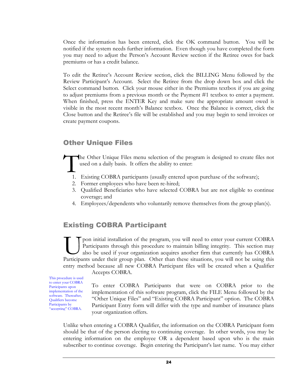Once the information has been entered, click the OK command button. You will be notified if the system needs further information. Even though you have completed the form you may need to adjust the Person's Account Review section if the Retiree owes for back premiums or has a credit balance.

To edit the Retiree's Account Review section, click the BILLING Menu followed by the Review Participant's Account. Select the Retiree from the drop down box and click the Select command button. Click your mouse either in the Premiums textbox if you are going to adjust premiums from a previous month or the Payment #1 textbox to enter a payment. When finished, press the ENTER Key and make sure the appropriate amount owed is visible in the most recent month's Balance textbox. Once the Balance is correct, click the Close button and the Retiree's file will be established and you may begin to send invoices or create payment coupons.

#### Other Unique Files

he Other Unique Files menu selection of the program is designed to create files not used on a daily basis. It offers the ability to enter: T

- 1. Existing COBRA participants (usually entered upon purchase of the software);
- 2. Former employees who have been re-hired;
- 3. Qualified Beneficiaries who have selected COBRA but are not eligible to continue coverage; and
- 4. Employees/dependents who voluntarily remove themselves from the group plan(s).

#### Existing COBRA Participant

pon initial installation of the program, you will need to enter your current COBRA Participants through this procedure to maintain billing integrity. This section may also be used if your organization acquires another firm that currently has COBRA The program, you will need to enter your current COBRA Participants through this procedure to maintain billing integrity. This section may also be used if your organization acquires another firm that currently has COBRA Pa entry method because all new COBRA Participant files will be created when a Qualifier

This procedure is used to enter your COBRA Participants upon implementation of the software. Thereafter, Qualifiers become Participants by "accepting" COBRA.

Accepts COBRA.

To enter COBRA Participants that were on COBRA prior to the implementation of this software program, click the FILE Menu followed by the "Other Unique Files" and "Existing COBRA Participant" option. The COBRA Participant Entry form will differ with the type and number of insurance plans your organization offers.

Unlike when entering a COBRA Qualifier, the information on the COBRA Participant form should be that of the person electing to continuing coverage. In other words, you may be entering information on the employee OR a dependent based upon who is the main subscriber to continue coverage. Begin entering the Participant's last name. You may either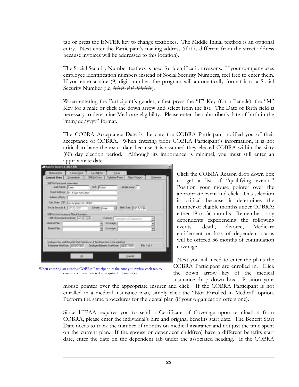tab or press the ENTER key to change textboxes. The Middle Initial textbox is an optional entry. Next enter the Participant's mailing address (if it is different from the street address because invoices will be addressed to this location).

The Social Security Number textbox is used for identification reasons. If your company uses employee identification numbers instead of Social Security Numbers, feel free to enter them. If you enter a nine (9) digit number, the program will automatically format it to a Social Security Number (i.e. ###-##+######).

When entering the Participant's gender, either press the "F" Key (for a Female), the "M" Key for a male or click the down arrow and select from the list. The Date of Birth field is necessary to determine Medicare eligibility. Please enter the subscriber's date of birth in the "mm/dd/yyyy" format.

The COBRA Acceptance Date is the date the COBRA Participant notified you of their acceptance of COBRA. When entering prior COBRA Participant's information, it is not critical to have the exact date because it is assumed they elected COBRA within the sixty (60) day election period. Although its importance is minimal, you must still enter an approximate date.

| General Date                                 | Deperatorist                                                                    | COBFIA Date    | Colotesu Plann | <b>Dites Charges</b>              | Dersey |
|----------------------------------------------|---------------------------------------------------------------------------------|----------------|----------------|-----------------------------------|--------|
| COTTA Fartcaset Information<br>Latitude Room |                                                                                 | FER FUSAL      |                | Ahitab Askal                      |        |
|                                              | Sheet Address 1414 East Act: Sboot                                              |                |                |                                   |        |
| AddwyCard)                                   |                                                                                 |                |                |                                   |        |
|                                              | Day, Share: 20  S. at Angeles, CA. 58333                                        |                |                |                                   |        |
| Social Security # 200-22-2222                |                                                                                 | Gender: Lingar |                | <b>Britisher</b> 10405-1966       |        |
|                                              | COBFIA And Houstries Plan Internation:<br>ESSERA Auceplance Diete: (LA/15/3075) |                |                | <b>BANK</b> Two-star of Englaneof |        |
| <b>Medical Part</b>                          |                                                                                 |                | Elivenide      |                                   |        |
| Désiré Plac                                  |                                                                                 |                | Contrage       |                                   |        |

When entering an existing COBRA Participant, make sure you review each tab to ensure you have entered all required information.

Click the COBRA Reason drop down box to get a list of "qualifying events." Position your mouse pointer over the appropriate event and click. This selection is critical because it determines the number of eligible months under COBRA; either 18 or 36 months. Remember, only dependents experiencing the following events: death, divorce, Medicare entitlement or loss of dependent status will be offered 36 months of continuation coverage.

Next you will need to enter the plans the COBRA Participant are enrolled in. Click the down arrow key of the medical insurance drop down box. Position your

mouse pointer over the appropriate insurer and click. If the COBRA Participant is not enrolled in a medical insurance plan, simply click the "Not Enrolled in Medical" option. Perform the same procedures for the dental plan (if your organization offers one).

Since HIPAA requires you to send a Certificate of Coverage upon termination from COBRA, please enter the individual's hire and original benefits start date. The Benefit Start Date needs to track the number of months on medical insurance and not just the time spent on the current plan. If the spouse or dependent child(ren) have a different benefits start date, enter the date on the dependent tab under the associated heading. If the COBRA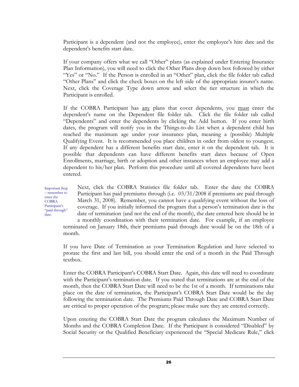Participant is a dependent (and not the employee), enter the employee's hire date and the dependent's benefits start date.

If your company offers what we call "Other" plans (as explained under Entering Insurance Plan Information), you will need to click the Other Plans drop down box followed by either "Yes" or "No." If the Person is enrolled in an "Other" plan, click the file folder tab called "Other Plans" and click the check boxes on the left side of the appropriate insurer's name. Next, click the Coverage Type down arrow and select the tier structure in which the Participant is enrolled.

If the COBRA Participant has any plans that cover dependents, you must enter the dependent's name on the Dependent file folder tab. Click the file folder tab called "Dependents" and enter the dependents by clicking the Add button. If you enter birth dates, the program will notify you in the Things-to-do List when a dependent child has reached the maximum age under your insurance plan, meaning a (possible) Multiple Qualifying Event. It is recommended you place children in order from oldest to youngest. If any dependent has a different benefits start date, enter it on the dependent tab. It is possible that dependents can have different benefits start dates because of Open Enrollments, marriage, birth or adoption and other instances when an employee may add a dependent to his/her plan. Perform this procedure until all covered dependents have been entered.

Important Step – remember to enter the COBRA Participant's "paid through" date.

Next, click the COBRA Statistics file folder tab. Enter the date the COBRA Participant has paid premiums through (i.e. 03/31/2008 if premiums are paid through March 31, 2008). Remember, you cannot have a qualifying event without the loss of coverage. If you initially informed the program that a person's termination date is the date of termination (and not the end of the month), the date entered here should be in a monthly coordination with their termination date. For example, if an employee terminated on January 18th, their premiums paid through date would be on the 18th of a

month.

If you have Date of Termination as your Termination Regulation and have selected to prorate the first and last bill, you should enter the end of a month in the Paid Through textbox.

Enter the COBRA Participant's COBRA Start Date. Again, this date will need to coordinate with the Participant's termination date. If you stated that terminations are at the end of the month, then the COBRA Start Date will need to be the 1st of a month. If terminations take place on the date of termination, the Participant's COBRA Start Date would be the day following the termination date. The Premiums Paid Through Date and COBRA Start Date are critical to proper operation of the program; please make sure they are entered correctly.

Upon entering the COBRA Start Date the program calculates the Maximum Number of Months and the COBRA Completion Date. If the Participant is considered "Disabled" by Social Security or the Qualified Beneficiary experienced the "Special Medicare Rule," click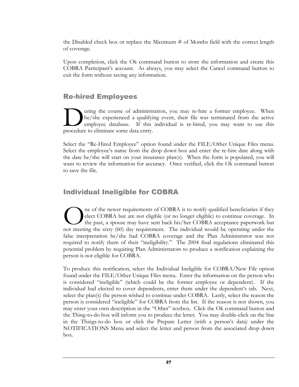the Disabled check box or replace the Maximum # of Months field with the correct length of coverage.

Upon completion, click the Ok command button to store the information and create this COBRA Participant's account. As always, you may select the Cancel command button to exit the form without saving any information.

#### Re-hired Employees

uring the course of administration, you may re-hire a former employee. When he/she experienced a qualifying event, their file was terminated from the active employee database. If this individual is re-hired, you may want to use this I uring the course of administrative course of administrative course and qualifyidemployee database. If this procedure to eliminate some data entry.

Select the "Re-Hired Employee" option found under the FILE/Other Unique Files menu. Select the employee's name from the drop down box and enter the re-hire date along with the date he/she will start on your insurance plan(s). When the form is populated, you will want to review the information for accuracy. Once verified, click the Ok command button to save the file.

## Individual Ineligible for COBRA

ne of the newer requirements of COBRA is to notify qualified beneficiaries if they elect COBRA but are not eligible (or no longer eligible) to continue coverage. In the past, a spouse may have sent back his/her COBRA acceptance paperwork but ne of the newer requirements of COBRA is to notify qualified beneficiaries if they elect COBRA but are not eligible (or no longer eligible) to continue coverage. In the past, a spouse may have sent back his/her COBRA accep false interpretation he/she had COBRA coverage and the Plan Administrator was not required to notify them of their "ineligibility." The 2004 final regulations eliminated this potential problem by requiring Plan Administrators to produce a notification explaining the person is not eligible for COBRA.

To produce this notification, select the Individual Ineligible for COBRA/New File option found under the FILE/Other Unique Files menu. Enter the information on the person who is considered "ineligible" (which could be the former employee or dependent). If the individual had elected to cover dependents, enter them under the dependent's tab. Next, select the plan(s) the person wished to continue under COBRA. Lastly, select the reason the person is considered "ineligible" for COBRA from the list. If the reason is not shown, you may enter your own description in the "Other" textbox. Click the Ok command button and the Thing-to-do box will inform you to produce the letter. You may double-click on the line in the Things-to-do box or click the Prepare Letter (with a person's data) under the NOTIFICATIONS Menu and select the letter and person from the associated drop down box.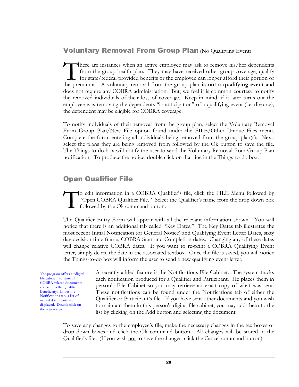#### **Voluntary Removal From Group Plan (No Qualifying Event)**

here are instances when an active employee may ask to remove his/her dependents from the group health plan. They may have received other group coverage, qualify for state/federal provided benefits or the employee can longer afford their portion of There are instances when an active employee may ask to remove his/her dependents from the group health plan. They may have received other group coverage, qualify for state/federal provided benefits or the employee can long does not require any COBRA administration. But, we feel it is common courtesy to notify the removed individuals of their loss of coverage. Keep in mind, if it later turns out the employee was removing the dependents "in anticipation" of a qualifying event (i.e. divorce), the dependent may be eligible for COBRA coverage.

To notify individuals of their removal from the group plan, select the Voluntary Removal From Group Plan/New File option found under the FILE/Other Unique Files menu. Complete the form, entering all individuals being removed from the group plan(s). Next, select the plans they are being removed from followed by the Ok button to save the file. The Things-to-do box will notify the user to send the Voluntary Removal from Group Plan notification. To produce the notice, double click on that line in the Things-to-do box.

#### Open Qualifier File

o edit information in a COBRA Qualifier's file, click the FILE Menu followed by "Open COBRA Qualifier File." Select the Qualifier's name from the drop down box followed by the Ok command button. T

The Qualifier Entry Form will appear with all the relevant information shown. You will notice that there is an additional tab called "Key Dates." The Key Dates tab illustrates the most recent Initial Notification (or General Notice) and Qualifying Event Letter Dates, sixty day decision time frame, COBRA Start and Completion dates. Changing any of these dates will change relative COBRA dates. If you want to re-print a COBRA Qualifying Event letter, simply delete the date in the associated textbox. Once the file is saved, you will notice the Things-to-do box will inform the user to send a new qualifying event letter.

The program offers a "digital file cabinet" to store all COBRA-related documents you sent to the Qualified Beneficiary. Under the Notifications tab, a list of mailed documents are displayed. Double click on them to review.

A recently added feature is the Notifications File Cabinet. The system tracks each notification produced for a Qualifier and Participant. He places them in person's File Cabinet so you may retrieve an exact copy of what was sent. These notifications can be found under the Notifications tab of either the Qualifier or Participant's file. If you have sent other documents and you wish to maintain them in this person's digital file cabinet, you may add them to the list by clicking on the Add button and selecting the document.

To save any changes to the employee's file, make the necessary changes in the textboxes or drop down boxes and click the Ok command button. All changes will be stored in the Qualifier's file. (If you wish not to save the changes, click the Cancel command button).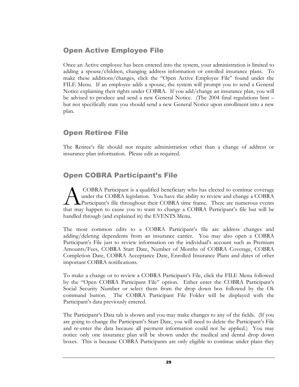## Open Active Employee File

Once an Active employee has been entered into the system, your administration is limited to adding a spouse/children, changing address information or enrolled insurance plans. To make these additions/changes, click the "Open Active Employee File" found under the FILE Menu. If an employee adds a spouse, the system will prompt you to send a General Notice explaining their rights under COBRA. If you add/change an insurance plan, you will be advised to produce and send a new General Notice. (The 2004 final regulations hint – but not specifically state you should send a new General Notice upon enrollment into a new plan.

## Open Retiree File

The Retiree's file should not require administration other than a change of address or insurance plan information. Please edit as required.

## Open COBRA Participant's File

COBRA Participant is a qualified beneficiary who has elected to continue coverage under the COBRA legislation. You have the ability to review and change a COBRA Participant's file throughout their COBRA time frame. There are numerous events COBRA Participant is a qualified beneficiary who has elected to continue coverage under the COBRA legislation. You have the ability to review and change a COBRA Participant's file throughout their COBRA time frame. There a handled through (and explained in) the EVENTS Menu.

The most common edits to a COBRA Participant's file are address changes and adding/deleting dependents from an insurance carrier. You may also open a COBRA Participant's File just to review information on the individual's account such as Premium Amounts/Fees, COBRA Start Date, Number of Months of COBRA Coverage, COBRA Completion Date, COBRA Acceptance Date, Enrolled Insurance Plans and dates of other important COBRA notifications.

To make a change or to review a COBRA Participant's File, click the FILE Menu followed by the "Open COBRA Participant File" option. Either enter the COBRA Participant's Social Security Number or select them from the drop down box followed by the Ok command button. The COBRA Participant File Folder will be displayed with the Participant's data previously entered.

The Participant's Data tab is shown and you may make changes to any of the fields. (If you are going to change the Participant's Start Date, you will need to delete the Participant's File and re-enter the data because all payment information could not be applied.) You may notice only one insurance plan will be shown under the medical and dental drop down boxes. This is because COBRA Participants are only eligible to continue under plans they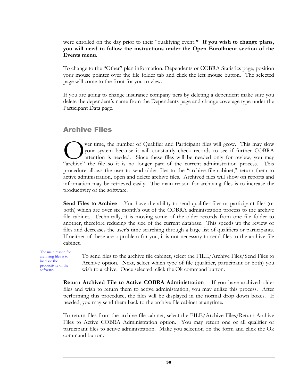were enrolled on the day prior to their "qualifying event**." If you wish to change plans, you will need to follow the instructions under the Open Enrollment section of the Events menu**.

To change to the "Other" plan information, Dependents or COBRA Statistics page, position your mouse pointer over the file folder tab and click the left mouse button. The selected page will come to the front for you to view.

If you are going to change insurance company tiers by deleting a dependent make sure you delete the dependent's name from the Dependents page and change coverage type under the Participant Data page.

#### Archive Files

ver time, the number of Qualifier and Participant files will grow. This may slow your system because it will constantly check records to see if further COBRA attention is needed. Since these files will be needed only for review, you may Over time, the number of Qualifier and Participant files will grow. This may slow your system because it will constantly check records to see if further COBRA attention is needed. Since these files will be needed only for procedure allows the user to send older files to the "archive file cabinet," return them to active administration, open and delete archive files. Archived files will show on reports and information may be retrieved easily. The main reason for archiving files is to increase the productivity of the software.

**Send Files to Archive** – You have the ability to send qualifier files or participant files (or both) which are over six month's out of the COBRA administration process to the archive file cabinet. Technically, it is moving some of the older records from one file folder to another, therefore reducing the size of the current database. This speeds up the review of files and decreases the user's time searching through a large list of qualifiers or participants. If neither of these are a problem for you, it is not necessary to send files to the archive file cabinet.

The main reason for archiving files is to increase the productivity of the software.

To send files to the archive file cabinet, select the FILE/Archive Files/Send Files to Archive option. Next, select which type of file (qualifier, participant or both) you wish to archive. Once selected, click the Ok command button.

**Return Archived File to Active COBRA Administration** – If you have archived older files and wish to return them to active administration, you may utilize this process. After performing this procedure, the files will be displayed in the normal drop down boxes. If needed, you may send them back to the archive file cabinet at anytime.

To return files from the archive file cabinet, select the FILE/Archive Files/Return Archive Files to Active COBRA Administration option. You may return one or all qualifier or participant files to active administration. Make you selection on the form and click the Ok command button.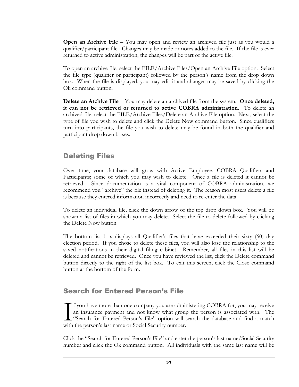**Open an Archive File** – You may open and review an archived file just as you would a qualifier/participant file. Changes may be made or notes added to the file. If the file is ever returned to active administration, the changes will be part of the active file.

To open an archive file, select the FILE/Archive Files/Open an Archive File option. Select the file type (qualifier or participant) followed by the person's name from the drop down box. When the file is displayed, you may edit it and changes may be saved by clicking the Ok command button.

**Delete an Archive File** – You may delete an archived file from the system. **Once deleted, it can not be retrieved or returned to active COBRA administration**. To delete an archived file, select the FILE/Archive Files/Delete an Archive File option. Next, select the type of file you wish to delete and click the Delete Now command button. Since qualifiers turn into participants, the file you wish to delete may be found in both the qualifier and participant drop down boxes.

### Deleting Files

Over time, your database will grow with Active Employee, COBRA Qualifiers and Participants; some of which you may wish to delete. Once a file is deleted it cannot be retrieved. Since documentation is a vital component of COBRA administration, we recommend you "archive" the file instead of deleting it. The reason most users delete a file is because they entered information incorrectly and need to re-enter the data.

To delete an individual file, click the down arrow of the top drop down box. You will be shown a list of files in which you may delete. Select the file to delete followed by clicking the Delete Now button.

The bottom list box displays all Qualifier's files that have exceeded their sixty (60) day election period. If you chose to delete these files, you will also lose the relationship to the saved notifications in their digital filing cabinet. Remember, all files in this list will be deleted and cannot be retrieved. Once you have reviewed the list, click the Delete command button directly to the right of the list box. To exit this screen, click the Close command button at the bottom of the form.

### Search for Entered Person's File

f you have more than one company you are administering COBRA for, you may receive an insurance payment and not know what group the person is associated with. The "Search for Entered Person's File" option will search the database and find a match with the person's last name or Social Security number. I<br>With

Click the "Search for Entered Person's File" and enter the person's last name/Social Security number and click the Ok command button. All individuals with the same last name will be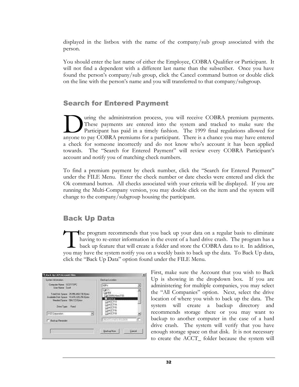displayed in the listbox with the name of the company/sub group associated with the person.

You should enter the last name of either the Employee, COBRA Qualifier or Participant. It will not find a dependent with a different last name than the subscriber. Once you have found the person's company/sub group, click the Cancel command button or double click on the line with the person's name and you will transferred to that company/subgroup.

### Search for Entered Payment

uring the administration process, you will receive COBRA premium payments. These payments are entered into the system and tracked to make sure the Participant has paid in a timely fashion. The 1999 final regulations allowed for These payments are entered into the system and tracked to make sure the Participant has paid in a timely fashion. The 1999 final regulations allowed for anyone to pay COBRA premiums for a participant. There is a chance you a check for someone incorrectly and do not know who's account it has been applied towards. The "Search for Entered Payment" will review every COBRA Participant's account and notify you of matching check numbers.

To find a premium payment by check number, click the "Search for Entered Payment" under the FILE Menu. Enter the check number or date checks were entered and click the Ok command button. All checks associated with your criteria will be displayed. If you are running the Multi-Company version, you may double click on the item and the system will change to the company/subgroup housing the participant.

### Back Up Data

he program recommends that you back up your data on a regular basis to eliminate having to re-enter information in the event of a hard drive crash. The program has a back up feature that will create a folder and store the COBRA data to it. In addition, The program recommends that you back up your data on a regular basis to eliminate having to re-enter information in the event of a hard drive crash. The program has a back up feature that will create a folder and store the click the "Back Up Data" option found under the FILE Menu.

| Computer Marie: SCDTTSPC<br>Lios Mane: Scott<br>Fold Date Space -25:356.4GLT36 Byes<br>nowledge Date Spieler 19:476.328.256 Bonni<br>Needed Space: 584,723 Sales<br><b>Died on Food</b><br>MCZ Estponistism<br>킈 | CB c<br>$-104$<br>000865millb<br><b>Charlin</b><br>$-140,173$<br>HACTH<br><b>EBADCIMS</b><br><b>FRANCITIS</b><br>ChACCT19 |  |
|------------------------------------------------------------------------------------------------------------------------------------------------------------------------------------------------------------------|---------------------------------------------------------------------------------------------------------------------------|--|
| <b>T. Tackup Recipient</b>                                                                                                                                                                                       | <b>EXAMINATION</b><br><b>KILFOODIVANITEE</b>                                                                              |  |

First, make sure the Account that you wish to Back Up is showing in the dropdown box. If you are administering for multiple companies, you may select the "All Companies" option. Next, select the drive location of where you wish to back up the data. The system will create a backup directory and recommends storage there or you may want to backup to another computer in the case of a hard drive crash. The system will verify that you have enough storage space on that disk. It is not necessary to create the ACCT\_ folder because the system will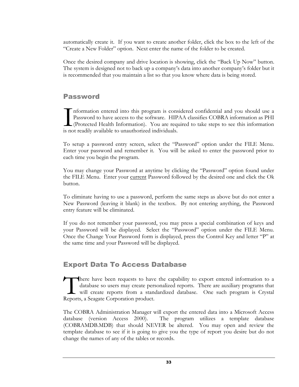automatically create it. If you want to create another folder, click the box to the left of the "Create a New Folder" option. Next enter the name of the folder to be created.

Once the desired company and drive location is showing, click the "Back Up Now" button. The system is designed not to back up a company's data into another company's folder but it is recommended that you maintain a list so that you know where data is being stored.

### Password

nformation entered into this program is considered confidential and you should use a Password to have access to the software. HIPAA classifies COBRA information as PHI (Protected Health Information). You are required to take steps to see this information Information entered into this program is conserved to have access to the software. HIF (Protected Health Information). You are requise not readily available to unauthorized individuals.

To setup a password entry screen, select the "Password" option under the FILE Menu. Enter your password and remember it. You will be asked to enter the password prior to each time you begin the program.

You may change your Password at anytime by clicking the "Password" option found under the FILE Menu. Enter your current Password followed by the desired one and click the Ok button.

To eliminate having to use a password, perform the same steps as above but do not enter a New Password (leaving it blank) in the textbox. By not entering anything, the Password entry feature will be eliminated.

If you do not remember your password, you may press a special combination of keys and your Password will be displayed. Select the "Password" option under the FILE Menu. Once the Change Your Password form is displayed, press the Control Key and letter "P" at the same time and your Password will be displayed.

### Export Data To Access Database

here have been requests to have the capability to export entered information to a database so users may create personalized reports. There are auxiliary programs that will create reports from a standardized database. One such program is Crystal There have been requests to have database so users may create per will create reports from a stan Reports, a Seagate Corporation product.

The COBRA Administration Manager will export the entered data into a Microsoft Access database (version Access 2000). The program utilizes a template database (COBRAMDB.MDB) that should NEVER be altered. You may open and review the template database to see if it is going to give you the type of report you desire but do not change the names of any of the tables or records.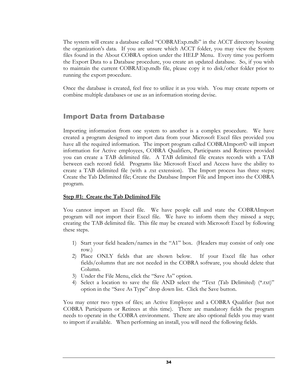The system will create a database called "COBRAExp.mdb" in the ACCT directory housing the organization's data. If you are unsure which ACCT folder, you may view the System files found in the About COBRA option under the HELP Menu. Every time you perform the Export Data to a Database procedure, you create an updated database. So, if you wish to maintain the current COBRAExp.mdb file, please copy it to disk/other folder prior to running the export procedure.

Once the database is created, feel free to utilize it as you wish. You may create reports or combine multiple databases or use as an information storing devise.

### Import Data from Database

Importing information from one system to another is a complex procedure. We have created a program designed to import data from your Microsoft Excel files provided you have all the required information. The import program called COBRAImport© will import information for Active employees, COBRA Qualifiers, Participants and Retirees provided you can create a TAB delimited file. A TAB delimited file creates records with a TAB between each record field. Programs like Microsoft Excel and Access have the ability to create a TAB delimited file (with a .txt extension). The Import process has three steps; Create the Tab Delimited file; Create the Database Import File and Import into the COBRA program.

### **Step #1: Create the Tab Delimited File**

You cannot import an Excel file. We have people call and state the COBRAImport program will not import their Excel file. We have to inform them they missed a step; creating the TAB delimited file. This file may be created with Microsoft Excel by following these steps.

- 1) Start your field headers/names in the "A1" box. (Headers may consist of only one row.)
- 2) Place ONLY fields that are shown below. If your Excel file has other fields/columns that are not needed in the COBRA software, you should delete that Column.
- 3) Under the File Menu, click the "Save As" option.
- 4) Select a location to save the file AND select the "Text (Tab Delimited) (\*.txt)" option in the "Save As Type" drop down list. Click the Save button.

You may enter two types of files; an Active Employee and a COBRA Qualifier (but not COBRA Participants or Retirees at this time). There are mandatory fields the program needs to operate in the COBRA environment. There are also optional fields you may want to import if available. When performing an install, you will need the following fields.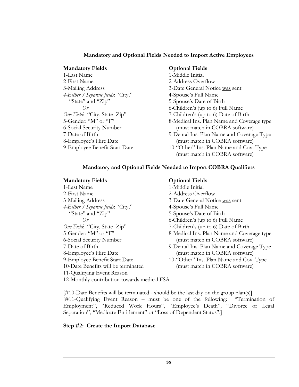### **Mandatory and Optional Fields Needed to Import Active Employees**

### **Mandatory Fields Optional Fields**

1-Last Name 1-Middle Initial 2-First Name 2-Address Overflow *4-Either 3 Separate fields*: "City," 4-Spouse's Full Name "State" and "Zip" 5-Spouse's Date of Birth

3-Mailing Address 3-Date General Notice was sent *Or* 6*-*Children's (up to 6) Full Name *One Field*: "City, State Zip" 7-Children's (up to 6) Date of Birth 5-Gender: "M" or "F" 8-Medical Ins. Plan Name and Cove 8-Medical Ins. Plan Name and Coverage type 6-Social Security Number (must match in COBRA software) 7-Date of Birth 9-Dental Ins. Plan Name and Coverage Type 8-Employee's Hire Date (must match in COBRA software) 9-Employee Benefit Start Date 10-"Other" Ins. Plan Name and Cov. Type (must match in COBRA software)

### **Mandatory and Optional Fields Needed to Import COBRA Qualifiers**

### **Mandatory Fields Optional Fields**

1-Last Name 1-Middle Initial 2-First Name 2-Address Overflow 3-Mailing Address 3-Date General Notice was sent *4-Either 3 Separate fields*: "City," 4-Spouse's Full Name "State" and "Zip" 5-Spouse's Date of Birth *Or* 6*-*Children's (up to 6) Full Name *One Field*: "City, State Zip" 7-Children's (up to 6) Date of Birth 6-Social Security Number (must match in COBRA software) 8-Employee's Hire Date (must match in COBRA software) 9-Employee Benefit Start Date 10-"Other" Ins. Plan Name and Cov. Type 10-Date Benefits will be terminated (must match in COBRA software) 11-Qualifying Event Reason 12-Monthly contribution towards medical FSA

5-Gender: "M" or "F" 8-Medical Ins. Plan Name and Coverage type 7-Date of Birth 9-Dental Ins. Plan Name and Coverage Type

[#10-Date Benefits will be terminated - should be the last day on the group plan(s)] [#11-Qualifying Event Reason – must be one of the following: "Termination of Employment", "Reduced Work Hours", "Employee's Death", "Divorce or Legal Separation", "Medicare Entitlement" or "Loss of Dependent Status".]

### **Step #2: Create the Import Database**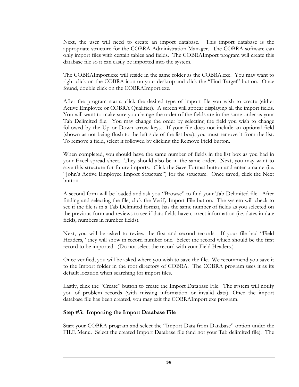Next, the user will need to create an import database. This import database is the appropriate structure for the COBRA Administration Manager. The COBRA software can only import files with certain tables and fields. The COBRAImport program will create this database file so it can easily be imported into the system.

The COBRAImport.exe will reside in the same folder as the COBRA.exe. You may want to right-click on the COBRA icon on your desktop and click the "Find Target" button. Once found, double click on the COBRAImport.exe.

After the program starts, click the desired type of import file you wish to create (either Active Employee or COBRA Qualifier). A screen will appear displaying all the import fields. You will want to make sure you change the order of the fields are in the same order as your Tab Delimited file. You may change the order by selecting the field you wish to change followed by the Up or Down arrow keys. If your file does not include an optional field (shown as not being flush to the left side of the list box), you must remove it from the list. To remove a field, select it followed by clicking the Remove Field button.

When completed, you should have the same number of fields in the list box as you had in your Excel spread sheet. They should also be in the same order. Next, you may want to save this structure for future imports. Click the Save Format button and enter a name (i.e. "John's Active Employee Import Structure") for the structure. Once saved, click the Next button.

A second form will be loaded and ask you "Browse" to find your Tab Delimited file. After finding and selecting the file, click the Verify Import File button. The system will check to see if the file is in a Tab Delimited format, has the same number of fields as you selected on the previous form and reviews to see if data fields have correct information (i.e. dates in date fields, numbers in number fields).

Next, you will be asked to review the first and second records. If your file had "Field Headers," they will show in record number one. Select the record which should be the first record to be imported. (Do not select the record with your Field Headers.)

Once verified, you will be asked where you wish to save the file. We recommend you save it to the Import folder in the root directory of COBRA. The COBRA program uses it as its default location when searching for import files.

Lastly, click the "Create" button to create the Import Database File. The system will notify you of problem records (with missing information or invalid data). Once the import database file has been created, you may exit the COBRAImport.exe program.

### **Step #3: Importing the Import Database File**

Start your COBRA program and select the "Import Data from Database" option under the FILE Menu. Select the created Import Database file (and not your Tab delimited file). The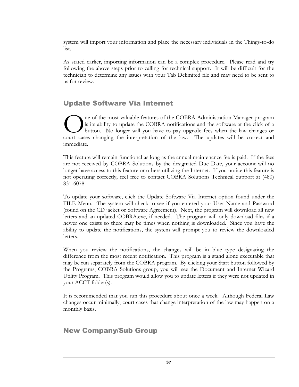system will import your information and place the necessary individuals in the Things-to-do list.

As stated earlier, importing information can be a complex procedure. Please read and try following the above steps prior to calling for technical support. It will be difficult for the technician to determine any issues with your Tab Delimited file and may need to be sent to us for review.

### Update Software Via Internet

ne of the most valuable features of the COBRA Administration Manager program is its ability to update the COBRA notifications and the software at the click of a button. No longer will you have to pay upgrade fees when the law changes or The of the most valuable features of the COBRA Administration Manager program<br>
is its ability to update the COBRA notifications and the software at the click of a<br>
button. No longer will you have to pay upgrade fees when t immediate.

This feature will remain functional as long as the annual maintenance fee is paid. If the fees are not received by COBRA Solutions by the designated Due Date, your account will no longer have access to this feature or others utilizing the Internet. If you notice this feature is not operating correctly, feel free to contact COBRA Solutions Technical Support at (480) 831-6078.

To update your software, click the Update Software Via Internet option found under the FILE Menu. The system will check to see if you entered your User Name and Password (found on the CD jacket or Software Agreement). Next, the program will download all new letters and an updated COBRA.exe, if needed. The program will only download files if a newer one exists so there may be times when nothing is downloaded. Since you have the ability to update the notifications, the system will prompt you to review the downloaded letters.

When you review the notifications, the changes will be in blue type designating the difference from the most recent notification. This program is a stand alone executable that may be run separately from the COBRA program. By clicking your Start button followed by the Programs, COBRA Solutions group, you will see the Document and Internet Wizard Utility Program. This program would allow you to update letters if they were not updated in your ACCT folder(s).

It is recommended that you run this procedure about once a week. Although Federal Law changes occur minimally, court cases that change interpretation of the law may happen on a monthly basis.

### New Company/Sub Group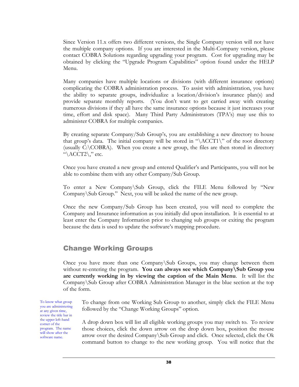Since Version 11.x offers two different versions, the Single Company version will not have the multiple company options. If you are interested in the Multi-Company version, please contact COBRA Solutions regarding upgrading your program. Cost for upgrading may be obtained by clicking the "Upgrade Program Capabilities" option found under the HELP Menu.

Many companies have multiple locations or divisions (with different insurance options) complicating the COBRA administration process. To assist with administration, you have the ability to separate groups, individualize a location/division's insurance plan(s) and provide separate monthly reports. (You don't want to get carried away with creating numerous divisions if they all have the same insurance options because it just increases your time, effort and disk space). Many Third Party Administrators (TPA's) may use this to administer COBRA for multiple companies.

By creating separate Company/Sub Group's, you are establishing a new directory to house that group's data. The initial company will be stored in " $\ACCT1\$ " of the root directory (usually C:\COBRA). When you create a new group, the files are then stored in directory " $\text{ACCT2}\$ " etc.

Once you have created a new group and entered Qualifier's and Participants, you will not be able to combine them with any other Company/Sub Group.

To enter a New Company\Sub Group, click the FILE Menu followed by "New Company\Sub Group." Next, you will be asked the name of the new group.

Once the new Company/Sub Group has been created, you will need to complete the Company and Insurance information as you initially did upon installation. It is essential to at least enter the Company Information prior to changing sub groups or exiting the program because the data is used to update the software's mapping procedure.

### Change Working Groups

Once you have more than one Company\Sub Groups, you may change between them without re-entering the program. **You can always see which Company\Sub Group you are currently working in by viewing the caption of the Main Menu**. It will list the Company\Sub Group after COBRA Administration Manager in the blue section at the top of the form.

To know what group you are administering at any given time, review the title bar in the upper left-hand corner of the program. The name will show after the software name.

To change from one Working Sub Group to another, simply click the FILE Menu followed by the "Change Working Groups" option.

A drop down box will list all eligible working groups you may switch to. To review those choices, click the down arrow on the drop down box, position the mouse arrow over the desired Company\Sub Group and click. Once selected, click the Ok command button to change to the new working group. You will notice that the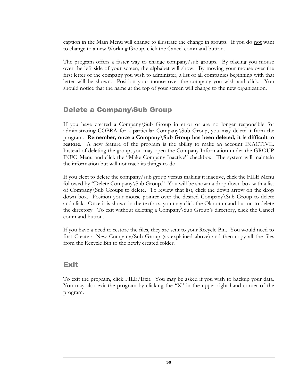caption in the Main Menu will change to illustrate the change in groups. If you do not want to change to a new Working Group, click the Cancel command button.

The program offers a faster way to change company/sub groups. By placing you mouse over the left side of your screen, the alphabet will show. By moving your mouse over the first letter of the company you wish to administer, a list of all companies beginning with that letter will be shown. Position your mouse over the company you wish and click. You should notice that the name at the top of your screen will change to the new organization.

### Delete a Company\Sub Group

If you have created a Company\Sub Group in error or are no longer responsible for administrating COBRA for a particular Company\Sub Group, you may delete it from the program. **Remember, once a Company\Sub Group has been deleted, it is difficult to restore**. A new feature of the program is the ability to make an account INACTIVE. Instead of deleting the group, you may open the Company Information under the GROUP INFO Menu and click the "Make Company Inactive" checkbox. The system will maintain the information but will not track its things-to-do.

If you elect to delete the company/sub group versus making it inactive, click the FILE Menu followed by "Delete Company\Sub Group." You will be shown a drop down box with a list of Company\Sub Groups to delete. To review that list, click the down arrow on the drop down box. Position your mouse pointer over the desired Company\Sub Group to delete and click. Once it is shown in the textbox, you may click the Ok command button to delete the directory. To exit without deleting a Company\Sub Group's directory, click the Cancel command button.

If you have a need to restore the files, they are sent to your Recycle Bin. You would need to first Create a New Company/Sub Group (as explained above) and then copy all the files from the Recycle Bin to the newly created folder.

### Exit

To exit the program, click FILE/Exit. You may be asked if you wish to backup your data. You may also exit the program by clicking the "X" in the upper right-hand corner of the program.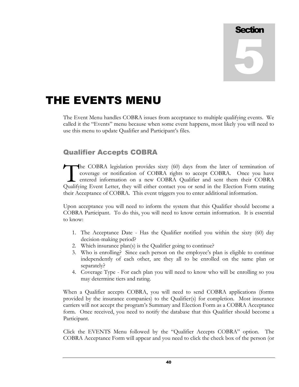# **Section** 5

## THE EVENTS MENU

The Event Menu handles COBRA issues from acceptance to multiple qualifying events. We called it the "Events" menu because when some event happens, most likely you will need to use this menu to update Qualifier and Participant's files.

### Qualifier Accepts COBRA

he COBRA legislation provides sixty (60) days from the later of termination of coverage or notification of COBRA rights to accept COBRA. Once you have entered information on a new COBRA Qualifier and sent them their COBRA The COBRA legislation provides sixty (60) days from the later of termination of coverage or notification of COBRA rights to accept COBRA. Once you have entered information on a new COBRA Qualifier and sent them their COBRA their Acceptance of COBRA. This event triggers you to enter additional information.

Upon acceptance you will need to inform the system that this Qualifier should become a COBRA Participant. To do this, you will need to know certain information. It is essential to know:

- 1. The Acceptance Date Has the Qualifier notified you within the sixty (60) day decision-making period?
- 2. Which insurance plan(s) is the Qualifier going to continue?
- 3. Who is enrolling? Since each person on the employee's plan is eligible to continue independently of each other, are they all to be enrolled on the same plan or separately?
- 4. Coverage Type For each plan you will need to know who will be enrolling so you may determine tiers and rating.

When a Qualifier accepts COBRA, you will need to send COBRA applications (forms provided by the insurance companies) to the Qualifier(s) for completion. Most insurance carriers will not accept the program's Summary and Election Form as a COBRA Acceptance form. Once received, you need to notify the database that this Qualifier should become a Participant.

Click the EVENTS Menu followed by the "Qualifier Accepts COBRA" option. The COBRA Acceptance Form will appear and you need to click the check box of the person (or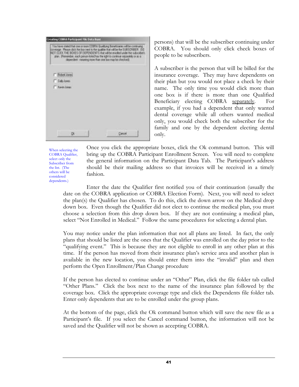

persons) that will be the subscriber continuing under COBRA. You should only click check boxes of people to be subscribers.

A subscriber is the person that will be billed for the insurance coverage. They may have dependents on their plan but you would not place a check by their name. The only time you would click more than one box is if there is more than one Qualified Beneficiary electing COBRA separately. For example, if you had a dependent that only wanted dental coverage while all others wanted medical only, you would check both the subscriber for the family and one by the dependent electing dental only.

When selecting the COBRA Qualifier, select only the Subscriber from the list. (The others will be considered dependents.)

Once you click the appropriate boxes, click the Ok command button. This will bring up the COBRA Participant Enrollment Screen. You will need to complete the general information on the Participant Data Tab. The Participant's address should be their mailing address so that invoices will be received in a timely fashion.

Enter the date the Qualifier first notified you of their continuation (usually the date on the COBRA application or COBRA Election Form). Next, you will need to select the plan(s) the Qualifier has chosen. To do this, click the down arrow on the Medical drop down box. Even though the Qualifier did not elect to continue the medical plan, you must choose a selection from this drop down box. If they are not continuing a medical plan, select "Not Enrolled in Medical." Follow the same procedures for selecting a dental plan.

You may notice under the plan information that not all plans are listed. In fact, the only plans that should be listed are the ones that the Qualifier was enrolled on the day prior to the "qualifying event." This is because they are not eligible to enroll in any other plan at this time. If the person has moved from their insurance plan's service area and another plan is available in the new location, you should enter them into the "invalid" plan and then perform the Open Enrollment/Plan Change procedure

If the person has elected to continue under an "Other" Plan, click the file folder tab called "Other Plans." Click the box next to the name of the insurance plan followed by the coverage box. Click the appropriate coverage type and click the Dependents file folder tab. Enter only dependents that are to be enrolled under the group plans.

At the bottom of the page, click the Ok command button which will save the new file as a Participant's file. If you select the Cancel command button, the information will not be saved and the Qualifier will not be shown as accepting COBRA.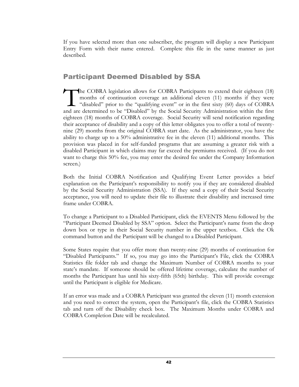If you have selected more than one subscriber, the program will display a new Participant Entry Form with their name entered. Complete this file in the same manner as just described.

### Participant Deemed Disabled by SSA

The COBRA legislation allows for COBRA Participants to extend their eighteen (18) months of continuation coverage an additional eleven (11) months if they were "disabled" prior to the "qualifying event" or in the first sixty (60) days of COBRA and are determined to be "Disabled" by the Social Security Administration within the first eighteen (18) months of COBRA coverage. Social Security will send notification regarding their acceptance of disability and a copy of this letter obligates you to offer a total of twentynine (29) months from the original COBRA start date. As the administrator, you have the ability to charge up to a 50% administrative fee in the eleven (11) additional months. This provision was placed in for self-funded programs that are assuming a greater risk with a disabled Participant in which claims may far exceed the premiums received. (If you do not want to charge this 50% fee, you may enter the desired fee under the Company Information screen.)  $\prod$ 

Both the Initial COBRA Notification and Qualifying Event Letter provides a brief explanation on the Participant's responsibility to notify you if they are considered disabled by the Social Security Administration (SSA). If they send a copy of their Social Security acceptance, you will need to update their file to illustrate their disability and increased time frame under COBRA.

To change a Participant to a Disabled Participant, click the EVENTS Menu followed by the "Participant Deemed Disabled by SSA" option. Select the Participant's name from the drop down box or type in their Social Security number in the upper textbox. Click the Ok command button and the Participant will be changed to a Disabled Participant.

Some States require that you offer more than twenty-nine (29) months of continuation for "Disabled Participants." If so, you may go into the Participant's File, click the COBRA Statistics file folder tab and change the Maximum Number of COBRA months to your state's mandate. If someone should be offered lifetime coverage, calculate the number of months the Participant has until his sixty-fifth (65th) birthday. This will provide coverage until the Participant is eligible for Medicare.

If an error was made and a COBRA Participant was granted the eleven (11) month extension and you need to correct the system, open the Participant's file, click the COBRA Statistics tab and turn off the Disability check box. The Maximum Months under COBRA and COBRA Completion Date will be recalculated.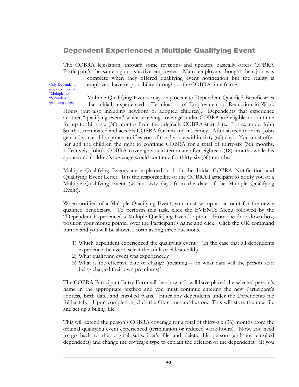### Dependent Experienced a Multiple Qualifying Event

The COBRA legislation, through some revisions and updates, basically offers COBRA Participant's the same rights as active employees. Many employers thought their job was

Only Dependents may experience a "Multiple" or "Secondary" qualifying event.

complete when they offered qualifying event notification but the reality is employers have responsibility throughout the COBRA time frame.

Multiple Qualifying Events may only occur to Dependent Qualified Beneficiaries that initially experienced a Termination of Employment or Reduction in Work

Hours (but also including newborn or adopted children). Dependents that experience another "qualifying event" while receiving coverage under COBRA are eligible to continue for up to thirty-six (36) months from the originally COBRA start date. For example, John Smith is terminated and accepts COBRA for him and his family. After sixteen months, John gets a divorce. His spouse notifies you of the divorce within sixty (60) days. You must offer her and the children the right to continue COBRA for a total of thirty-six (36) months. Effectively, John's COBRA coverage would terminate after eighteen (18) months while his spouse and children's coverage would continue for thirty-six (36) months.

Multiple Qualifying Events are explained in both the Initial COBRA Notification and Qualifying Event Letter. It is the responsibility of the COBRA Participant to notify you of a Multiple Qualifying Event (within sixty days from the date of the Multiple Qualifying Event).

When notified of a Multiple Qualifying Event, you must set up an account for the newly qualified beneficiary. To perform this task, click the EVENTS Menu followed by the "Dependent Experienced a Multiple Qualifying Event" option. From the drop down box, position your mouse pointer over the Participant's name and click. Click the OK command button and you will be shown a form asking three questions.

- 1) Which dependent experienced the qualifying event? (In the case that all dependents experience the event, select the adult or eldest child.)
- 2) What qualifying event was experienced?
- 3) What is the effective date of change (meaning on what date will the person start being charged their own premiums)?

The COBRA Participant Entry Form will be shown. It will have placed the selected person's name in the appropriate textbox and you must continue entering the new Participant's address, birth date, and enrolled plans. Enter any dependents under the Dependents file folder tab. Upon completion, click the Ok command button. This will store the new file and set up a billing file.

This will extend the person's COBRA coverage for a total of thirty-six (36) months from the original qualifying event experienced (termination or reduced work hours). Now, you need to go back to the original subscriber's file and delete this person (and any enrolled dependents) and change the coverage type to explain the deletion of the dependents. (If you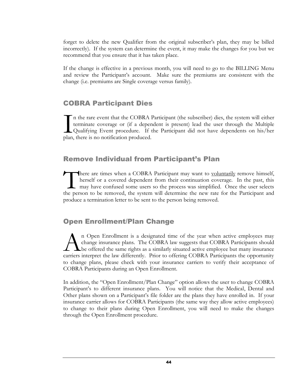forget to delete the new Qualifier from the original subscriber's plan, they may be billed incorrectly). If the system can determine the event, it may make the changes for you but we recommend that you ensure that it has taken place.

If the change is effective in a previous month, you will need to go to the BILLING Menu and review the Participant's account. Make sure the premiums are consistent with the change (i.e. premiums are Single coverage versus family).

### COBRA Participant Dies

n the rare event that the COBRA Participant (the subscriber) dies, the system will either terminate coverage or (if a dependent is present) lead the user through the Multiple Qualifying Event procedure. If the Participant did not have dependents on his/her In the rare event that the COBRA<br>terminate coverage or (if a deper<br>Qualifying Event procedure. If<br>plan, there is no notification produced.

### Remove Individual from Participant's Plan

here are times when a COBRA Participant may want to voluntarily remove himself, herself or a covered dependent from their continuation coverage. In the past, this may have confused some users so the process was simplified. Once the user selects the person to be removed, the system will determine the new rate for the Participant and produce a termination letter to be sent to the person being removed.  $\prod_{\text{the per}}$ 

### Open Enrollment/Plan Change

n Open Enrollment is a designated time of the year when active employees may change insurance plans. The COBRA law suggests that COBRA Participants should **L** be offered the same rights as a similarly situated active employee but many insurance <sup>n</sup> Open Enrollment is a designated time of the year when active employees may change insurance plans. The COBRA law suggests that COBRA Participants should be offered the same rights as a similarly situated active employe to change plans, please check with your insurance carriers to verify their acceptance of COBRA Participants during an Open Enrollment.

In addition, the "Open Enrollment/Plan Change" option allows the user to change COBRA Participant's to different insurance plans. You will notice that the Medical, Dental and Other plans shown on a Participant's file folder are the plans they have enrolled in. If your insurance carrier allows for COBRA Participants (the same way they allow active employees) to change to their plans during Open Enrollment, you will need to make the changes through the Open Enrollment procedure.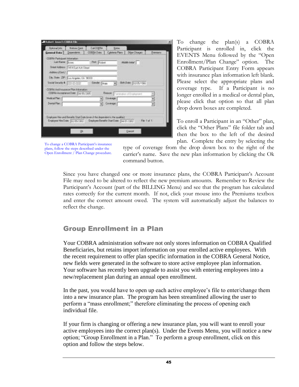| General Date   Depertisent    |                                                                              | CO'BFIA Date                                                                                                                                          | Colotes Plann                     | <b>Direct Changes</b> | <b>Bersen</b> |
|-------------------------------|------------------------------------------------------------------------------|-------------------------------------------------------------------------------------------------------------------------------------------------------|-----------------------------------|-----------------------|---------------|
| COTTA Farticlassi tracerulare |                                                                              |                                                                                                                                                       |                                   |                       |               |
| Latiture, Room                |                                                                              | FER FLOWE                                                                                                                                             |                                   | <b>Months Asklar</b>  |               |
|                               | Sheet Address 1414 East Ach Sheet                                            |                                                                                                                                                       |                                   |                       |               |
| AddwyCard                     |                                                                              |                                                                                                                                                       |                                   |                       |               |
|                               | Day, Share: 20  S. at Angeles, CA. 58333                                     |                                                                                                                                                       |                                   |                       |               |
|                               | Social Security # 223-22-2222                                                | Gender:   Main                                                                                                                                        |                                   | Britisher 1005-598    |               |
|                               | COBRA And Insurance Plan Intomation:<br>ESBRA Auceplance Diete: (UL/IS/2015) |                                                                                                                                                       | <b>BANK</b> Two-star of Englaneof |                       |               |
| <b>Hedical Pierr</b>          |                                                                              |                                                                                                                                                       | Eaveness:                         |                       |               |
| Désiré Plac                   |                                                                              |                                                                                                                                                       | Contrage                          |                       |               |
|                               |                                                                              | Englower Hier and Benefits Start Dute Joven it the departments the qualitat<br>Employee Him Date: Bootscopp: Employee Benefits Start Date: Bucht / WC |                                   |                       | Fie 1 at 1.   |

To change the plan(s) a COBRA Participant is enrolled in, click the EVENTS Menu followed by the "Open Enrollment/Plan Change" option. The COBRA Participant Entry Form appears with insurance plan information left blank. Please select the appropriate plans and coverage type. If a Participant is no longer enrolled in a medical or dental plan, please click that option so that all plan drop down boxes are completed.

To enroll a Participant in an "Other" plan, click the "Other Plans" file folder tab and then the box to the left of the desired plan. Complete the entry by selecting the

To change a COBRA Participant's insurance plans, follow the steps described under the Open Enrollment / Plan Change procedure.

type of coverage from the drop down box to the right of the carrier's name. Save the new plan information by clicking the Ok command button.

Since you have changed one or more insurance plans, the COBRA Participant's Account File may need to be altered to reflect the new premium amounts. Remember to Review the Participant's Account (part of the BILLING Menu) and see that the program has calculated rates correctly for the current month. If not, click your mouse into the Premiums textbox and enter the correct amount owed. The system will automatically adjust the balances to reflect the change.

### Group Enrollment in a Plan

Your COBRA administration software not only stores information on COBRA Qualified Beneficiaries, but retains import information on your enrolled active employees. With the recent requirement to offer plan specific information in the COBRA General Notice, new fields were generated in the software to store active employee plan information. Your software has recently been upgrade to assist you with entering employees into a new/replacement plan during an annual open enrollment.

In the past, you would have to open up each active employee's file to enter/change them into a new insurance plan. The program has been streamlined allowing the user to perform a "mass enrollment;" therefore eliminating the process of opening each individual file.

If your firm is changing or offering a new insurance plan, you will want to enroll your active employees into the correct plan(s). Under the Events Menu, you will notice a new option; "Group Enrollment in a Plan." To perform a group enrollment, click on this option and follow the steps below.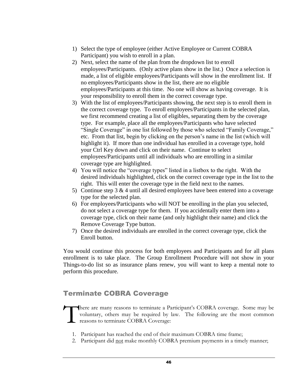- 1) Select the type of employee (either Active Employee or Current COBRA Participant) you wish to enroll in a plan.
- 2) Next, select the name of the plan from the dropdown list to enroll employees/Participants. (Only active plans show in the list.) Once a selection is made, a list of eligible employees/Participants will show in the enrollment list. If no employees/Participants show in the list, there are no eligible employees/Participants at this time. No one will show as having coverage. It is your responsibility to enroll them in the correct coverage type.
- 3) With the list of employees/Participants showing, the next step is to enroll them in the correct coverage type. To enroll employees/Participants in the selected plan, we first recommend creating a list of eligibles, separating them by the coverage type. For example, place all the employees/Participants who have selected "Single Coverage" in one list followed by those who selected "Family Coverage," etc. From that list, begin by clicking on the person's name in the list (which will highlight it). If more than one individual has enrolled in a coverage type, hold your Ctrl Key down and click on their name. Continue to select employees/Participants until all individuals who are enrolling in a similar coverage type are highlighted.
- 4) You will notice the "coverage types" listed in a listbox to the right. With the desired individuals highlighted, click on the correct coverage type in the list to the right. This will enter the coverage type in the field next to the names.
- 5) Continue step  $3 \& 4$  until all desired employees have been entered into a coverage type for the selected plan.
- 6) For employees/Participants who will NOT be enrolling in the plan you selected, do not select a coverage type for them. If you accidentally enter them into a coverage type, click on their name (and only highlight their name) and click the Remove Coverage Type button.
- 7) Once the desired individuals are enrolled in the correct coverage type, click the Enroll button.

You would continue this process for both employees and Participants and for all plans enrollment is to take place. The Group Enrollment Procedure will not show in your Things-to-do list so as insurance plans renew, you will want to keep a mental note to perform this procedure.

### Terminate COBRA Coverage

here are many reasons to terminate a Participant's COBRA coverage. Some may be voluntary, others may be required by law. The following are the most common reasons to terminate COBRA Coverage: T

- 1. Participant has reached the end of their maximum COBRA time frame;
- 2. Participant did not make monthly COBRA premium payments in a timely manner;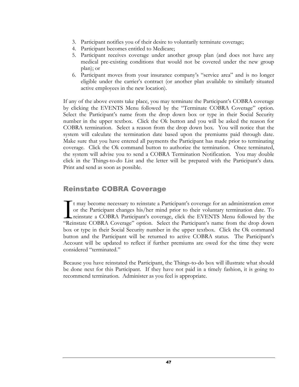- 3. Participant notifies you of their desire to voluntarily terminate coverage;
- 4. Participant becomes entitled to Medicare;
- 5. Participant receives coverage under another group plan (and does not have any medical pre-existing conditions that would not be covered under the new group plan); or
- 6. Participant moves from your insurance company's "service area" and is no longer eligible under the carrier's contract (or another plan available to similarly situated active employees in the new location).

If any of the above events take place, you may terminate the Participant's COBRA coverage by clicking the EVENTS Menu followed by the "Terminate COBRA Coverage" option. Select the Participant's name from the drop down box or type in their Social Security number in the upper textbox. Click the Ok button and you will be asked the reason for COBRA termination. Select a reason from the drop down box. You will notice that the system will calculate the termination date based upon the premiums paid through date. Make sure that you have entered all payments the Participant has made prior to terminating coverage. Click the Ok command button to authorize the termination. Once terminated, the system will advise you to send a COBRA Termination Notification. You may double click in the Things-to-do List and the letter will be prepared with the Participant's data. Print and send as soon as possible.

### Reinstate COBRA Coverage

t may become necessary to reinstate a Participant's coverage for an administration error or the Participant changes his/her mind prior to their voluntary termination date. To reinstate a COBRA Participant's coverage, click the EVENTS Menu followed by the "Reinstate COBRA Coverage" option. Select the Participant's name from the drop down box or type in their Social Security number in the upper textbox. Click the Ok command button and the Participant will be returned to active COBRA status. The Participant's Account will be updated to reflect if further premiums are owed for the time they were considered "terminated." I<br>"Rei

Because you have reinstated the Participant, the Things-to-do box will illustrate what should be done next for this Participant. If they have not paid in a timely fashion, it is going to recommend termination. Administer as you feel is appropriate.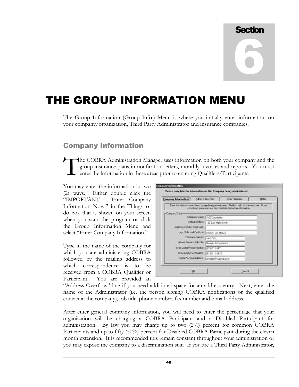# **Section** 6

## THE GROUP INFORMATION MENU

The Group Information (Group Info.) Menu is where you initially enter information on your company/organization, Third Party Administrator and insurance companies.

### Company Information

he COBRA Administration Manager uses information on both your company and the group insurance plans in notification letters, monthly invoices and reports. You must enter the information in these areas prior to entering Qualifiers/Participants. T

You may enter the information in two (2) ways. Either double click the "IMPORTANT - Enter Company Information Now!" in the Things-todo box that is shown on your screen when you start the program or click the Group Information Menu and select "Enter Company Information."

Type in the name of the company for which you are administering COBRA followed by the mailing address to which correspondence is to be received from a COBRA Qualifier or Participant. You are provided an

| <b>Company Information</b> | Adrin Fees/TPA                                   | Diver Programs                                                                                                                                                        | Noted |
|----------------------------|--------------------------------------------------|-----------------------------------------------------------------------------------------------------------------------------------------------------------------------|-------|
|                            |                                                  | Enter the information on the company being administered. Fields in italic font are optional. Once<br>completed, please review the other tabs for further information. |       |
| Company Data               |                                                  |                                                                                                                                                                       |       |
|                            | Company Name: INYZ Corporation                   |                                                                                                                                                                       |       |
|                            | Mailing Address: 123 East Main Street            |                                                                                                                                                                       |       |
| Ackhers Dyantow (Optimus)  |                                                  |                                                                                                                                                                       |       |
|                            | City, State and Zip Code: LAnycity, CA 90123     |                                                                                                                                                                       |       |
|                            | Company Contact: Uphin Doe                       |                                                                                                                                                                       |       |
|                            | Above Person's Job Title: Benefits Administrator |                                                                                                                                                                       |       |
|                            | (Area Code) Phone Number: (1918) 111-1111        |                                                                                                                                                                       |       |
|                            | Mau Guly/Ser Number 1918 111-1112                |                                                                                                                                                                       |       |
|                            | Carter's Email Address physiol@ujacorp.com       |                                                                                                                                                                       |       |

"Address Overflow" line if you need additional space for an address entry. Next, enter the name of the Administrator (i.e. the person signing COBRA notifications or the qualified contact at the company), job title, phone number, fax number and e-mail address.

After enter general company information, you will need to enter the percentage that your organization will be charging a COBRA Participant and a Disabled Participant for administration. By law you may charge up to two (2%) percent for common COBRA Participants and up to fifty (50%) percent for Disabled COBRA Participant during the eleven month extension. It is recommended this remain constant throughout your administration or you may expose the company to a discrimination suit. If you are a Third Party Administrator,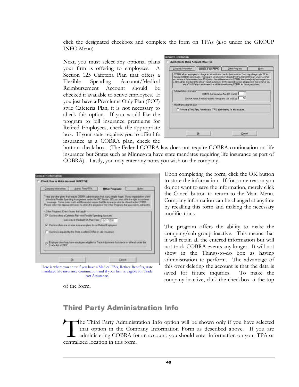click the designated checkbox and complete the form on TPAs (also under the GROUP INFO Menu).

Next, you must select any optional plans your firm is offering to employees. A Section 125 Cafeteria Plan that offers a Flexible Spending Account/Medical Reimbursement Account should be checked if available to active employees. If you just have a Premiums Only Plan (POP) style Cafeteria Plan, it is not necessary to check this option. If you would like the program to bill insurance premiums for Retired Employees, check the appropriate box. If your state requires you to offer life insurance as a COBRA plan, check the

| Admn Foot/IPA<br><b>Driver Frogmans</b><br>Company Intertundent                                                                                                                                                                                                                                                                                                                                                                                                                                                                          | <b>Moont</b> |
|------------------------------------------------------------------------------------------------------------------------------------------------------------------------------------------------------------------------------------------------------------------------------------------------------------------------------------------------------------------------------------------------------------------------------------------------------------------------------------------------------------------------------------------|--------------|
| CDEFIA allows employers to charge an admissimation has for thes services. You may charge up a 23 for<br>standard COBPA participants. Participants who became "deabled" within the first 60 days under COBPA<br>and receive a determination host \$\$8, justimy their eithnery specific CDBRA fine hannel may be clustged up to<br>a SER admin. for during the eleven month extension. In the second section, alease nebty the graters if you.<br>Ain a Third Party Administrator that will be administrating CDERA for this experiences. |              |
| Adsing nation Information:<br>75<br>2000 LAYER<br>COEFIA Administrative Fee 80% to 2%1.<br>$\overline{51}$<br>EDBRA.Azhan, Fae for Disabled Participants (EX to 5EX)                                                                                                                                                                                                                                                                                                                                                                     |              |
| - Third Parts Advances about                                                                                                                                                                                                                                                                                                                                                                                                                                                                                                             |              |
| I We are a Third Party Administrator (TPA) administering for the account.                                                                                                                                                                                                                                                                                                                                                                                                                                                                |              |
|                                                                                                                                                                                                                                                                                                                                                                                                                                                                                                                                          |              |

bottom check box. (The Federal COBRA law does not require COBRA continuation on life insurance but States such as Minnesota have state mandates requiring life insurance as part of COBRA). Lastly, you may enter any notes you wish on the company.

|                                     | <b>Judeau, Feeu/TRitc.</b>                                                                                                                                                                                                                                                                                                                                                                                                                 | <b>Hihar Programs</b> | <b>Bakes</b> |
|-------------------------------------|--------------------------------------------------------------------------------------------------------------------------------------------------------------------------------------------------------------------------------------------------------------------------------------------------------------------------------------------------------------------------------------------------------------------------------------------|-----------------------|--------------|
|                                     | There are other plans that sequee COSPUL administration that was unseen forget. If your organization offers<br>a Modelal Realtie Spending Amergenient ander the IRC Section 195 you must after the sign to continue<br>coverage. Sense states such as Difense ontal record that the most ancie also be objected under CCEFA.<br>Please select the aggrega ple County to adous the program of the Chine Programs that you wish to admission |                       |              |
| -Dike Prepare (Ouch boost the sept) |                                                                                                                                                                                                                                                                                                                                                                                                                                            |                       |              |
|                                     | 57 Clas link often a Calebraic Plannets Flexible Township Accounts.                                                                                                                                                                                                                                                                                                                                                                        |                       |              |
|                                     | Last Day of Medical FSA Plan Year: (13/31/2005)                                                                                                                                                                                                                                                                                                                                                                                            |                       |              |
|                                     | D. Our first offers and at 5000 managed plane to me Plateau' Englishers:                                                                                                                                                                                                                                                                                                                                                                   |                       |              |
|                                     | She fire in required by the State to other COEFA' on Life Insularon.                                                                                                                                                                                                                                                                                                                                                                       |                       |              |
|                                     | the contract property of the contract of the contract of the contract of                                                                                                                                                                                                                                                                                                                                                                   |                       |              |
|                                     | Engineer does/may have explorers eighte to Trade Adjustment Accidence as attendances the                                                                                                                                                                                                                                                                                                                                                   |                       |              |
| Trade Act of 2002                   |                                                                                                                                                                                                                                                                                                                                                                                                                                            |                       |              |

Here is where you enter if you have a Medical FSA, Retiree Benefits, state mandated life insurance continuation and if your firm is eligible for Trade Act Assistance.

of the form.

Upon completing the form, click the OK button to store the information. If for some reason you do not want to save the information, merely click the Cancel button to return to the Main Menu. Company information can be changed at anytime by recalling this form and making the necessary modifications.

The program offers the ability to make the company/sub group inactive. This means that it will retain all the entered information but will not track COBRA events any longer. It will not show in the Things-to-do box as having administration to perform. The advantage of this over deleting the account is that the data is saved for future inquiries. To make the company inactive, click the checkbox at the top

### Third Party Administration Info

he Third Party Administration Info option will be shown only if you have selected that option in the Company Information Form as described above. If you are administering COBRA for an account, you should enter information on your TPA or The Third Party Administre that option in the Comparation and the Comparative and administering COBRA form.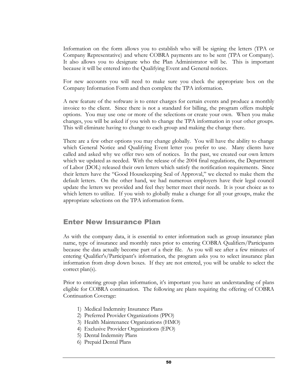Information on the form allows you to establish who will be signing the letters (TPA or Company Representative) and where COBRA payments are to be sent (TPA or Company). It also allows you to designate who the Plan Administrator will be. This is important because it will be entered into the Qualifying Event and General notices.

For new accounts you will need to make sure you check the appropriate box on the Company Information Form and then complete the TPA information.

A new feature of the software is to enter charges for certain events and produce a monthly invoice to the client. Since there is not a standard for billing, the program offers multiple options. You may use one or more of the selections or create your own. When you make changes, you will be asked if you wish to change the TPA information in your other groups. This will eliminate having to change to each group and making the change there.

There are a few other options you may change globally. You will have the ability to change which General Notice and Qualifying Event letter you prefer to use. Many clients have called and asked why we offer two sets of notices. In the past, we created our own letters which we updated as needed. With the release of the 2004 final regulations, the Department of Labor (DOL) released their own letters which satisfy the notification requirements. Since their letters have the "Good Housekeeping Seal of Approval," we elected to make them the default letters. On the other hand, we had numerous employers have their legal council update the letters we provided and feel they better meet their needs. It is your choice as to which letters to utilize. If you wish to globally make a change for all your groups, make the appropriate selections on the TPA information form.

### Enter New Insurance Plan

As with the company data, it is essential to enter information such as group insurance plan name, type of insurance and monthly rates prior to entering COBRA Qualifiers/Participants because the data actually become part of a their file. As you will see after a few minutes of entering Qualifier's/Participant's information, the program asks you to select insurance plan information from drop down boxes. If they are not entered, you will be unable to select the correct plan(s).

Prior to entering group plan information, it's important you have an understanding of plans eligible for COBRA continuation. The following are plans requiring the offering of COBRA Continuation Coverage:

- 1) Medical Indemnity Insurance Plans
- 2) Preferred Provider Organizations (PPO)
- 3) Health Maintenance Organizations (HMO)
- 4) Exclusive Provider Organizations (EPO)
- 5) Dental Indemnity Plans
- 6) Prepaid Dental Plans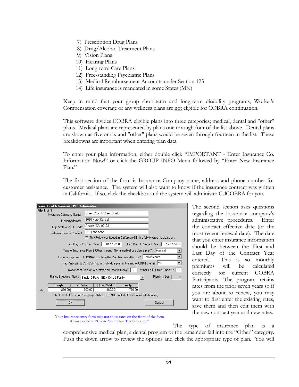- 7) Prescription Drug Plans
- 8) Drug/Alcohol Treatment Plans
- 9) Vision Plans
- 10) Hearing Plans
- 11) Long-term Care Plans
- 12) Free-standing Psychiatric Plans
- 13) Medical Reimbursement Accounts under Section 125
- 14) Life insurance is mandated in some States (MN)

Keep in mind that your group short-term and long-term disability programs, Worker's Compensation coverage or any wellness plans are not eligible for COBRA continuation.

This software divides COBRA eligible plans into three categories; medical, dental and "other" plans. Medical plans are represented by plans one through four of the list above. Dental plans are shown as five or six and "other" plans would be seven through fourteen in the list. These breakdowns are important when entering plan data.

To enter your plan information, either double click "IMPORTANT - Enter Insurance Co. Information Now!" or click the GROUP INFO Menu followed by "Enter New Insurance Plan."

The first section of the form is Insurance Company name, address and phone number for customer assistance. The system will also want to know if the insurance contract was written in California. If so, click the checkbox and the system will administer CalCOBRA for you.

| Group Health Insurance Plan Information                                   |                                                                                   |                                                                                            |  |  |  |  |
|---------------------------------------------------------------------------|-----------------------------------------------------------------------------------|--------------------------------------------------------------------------------------------|--|--|--|--|
| File 1 of 1                                                               | Insurance Company Name:                                                           | Green Cross & Green Shield                                                                 |  |  |  |  |
|                                                                           | Mailing Address:                                                                  | 3030 North Central                                                                         |  |  |  |  |
|                                                                           | City, State and ZIP Code:                                                         | Anycity, CA 90123                                                                          |  |  |  |  |
|                                                                           | Customer Service Phone #:                                                         | (818) 555-5555                                                                             |  |  |  |  |
|                                                                           |                                                                                   | ○ This Policy was issued in California AND is a fully-insured medical plan.                |  |  |  |  |
|                                                                           |                                                                                   | 01/01/2005<br>12/31/2005<br>First Day of Contract Year:  <br>Last Day of Contract Year:    |  |  |  |  |
|                                                                           | Type of Insurance Plan ("Other" means "Not a medical or a dental plan"):  Medical |                                                                                            |  |  |  |  |
| On what day does TERMINATION from the Plan become effective? End of Month |                                                                                   |                                                                                            |  |  |  |  |
|                                                                           |                                                                                   | May Participants CONVERT to an individual plan at the end of COBRA term? Yes               |  |  |  |  |
|                                                                           |                                                                                   | What if a Full-time Student?<br>Dependent Children are termed on what birthday? 19<br>123. |  |  |  |  |
|                                                                           | Rating Structure (Tiers):                                                         | Plan Number:<br>Single, 2 Party, 'EE + Child & Family                                      |  |  |  |  |
| <b>Single</b>                                                             | 2 Party                                                                           | $EE + Child$<br>Family                                                                     |  |  |  |  |
| Rates:                                                                    | 250.00                                                                            | 500.00<br>480.00<br>750.00                                                                 |  |  |  |  |
|                                                                           |                                                                                   | Enter the rate the Group/Company is billed. (Do NOT include the 2% administration fee)     |  |  |  |  |
|                                                                           | Πk                                                                                | Cancel                                                                                     |  |  |  |  |

The second section asks questions regarding the insurance company's administrative procedures. Enter the contract effective date (or the most recent renewal date). The date that you enter insurance information should be between the First and Last Day of the Contract Year entered. This is so monthly premiums will be calculated correctly for current COBRA Participants. The program retains rates from the prior seven years so if you are about to renew, you may want to first enter the existing rates, save them and then edit them with the new contract year and new rates.



The type of insurance plan is a comprehensive medical plan, a dental program or the remainder fall into the "Other" category. Push the down arrow to review the options and click the appropriate type of plan. You will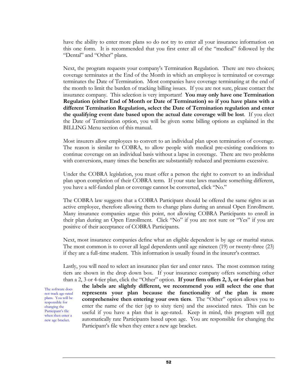have the ability to enter more plans so do not try to enter all your insurance information on this one form. It is recommended that you first enter all of the "medical" followed by the "Dental" and "Other" plans.

Next, the program requests your company's Termination Regulation. There are two choices; coverage terminates at the End of the Month in which an employee is terminated or coverage terminates the Date of Termination. Most companies have coverage terminating at the end of the month to limit the burden of tracking billing issues. If you are not sure, please contact the insurance company. This selection is very important! **You may only have one Termination Regulation (either End of Month or Date of Termination) so if you have plans with a different Termination Regulation, select the Date of Termination regulation and enter the qualifying event date based upon the actual date coverage will be lost**. If you elect the Date of Termination option, you will be given some billing options as explained in the BILLING Menu section of this manual.

Most insurers allow employees to convert to an individual plan upon termination of coverage. The reason is similar to COBRA, to allow people with medical pre-existing conditions to continue coverage on an individual basis without a lapse in coverage. There are two problems with conversions, many times the benefits are substantially reduced and premiums excessive.

Under the COBRA legislation, you must offer a person the right to convert to an individual plan upon completion of their COBRA term. If your state laws mandate something different, you have a self-funded plan or coverage cannot be converted, click "No."

The COBRA law suggests that a COBRA Participant should be offered the same rights as an active employee, therefore allowing them to change plans during an annual Open Enrollment. Many insurance companies argue this point, not allowing COBRA Participants to enroll in their plan during an Open Enrollment. Click "No" if you are not sure or "Yes" if you are positive of their acceptance of COBRA Participants.

Next, most insurance companies define what an eligible dependent is by age or marital status. The most common is to cover all legal dependents until age nineteen (19) or twenty-three (23) if they are a full-time student. This information is usually found in the insurer's contract.

Lastly, you will need to select an insurance plan tier and enter rates. The most common rating tiers are shown in the drop down box. If your insurance company offers something other than a 2, 3 or 4-tier plan, click the "Other" option. **If your firm offers 2, 3, or 4-tier plan but** 

The software does not track age-rated plans. You will be responsible for changing the Participant's file when then enter a new age bracket.

**the labels are slightly different, we recommend you still select the one that represents your plan because the functionality of the plan is more comprehensive then entering your own tiers**. The "Other" option allows you to enter the name of the tier (up to sixty tiers) and the associated rates. This can be useful if you have a plan that is age-rated. Keep in mind, this program will not automatically rate Participants based upon age. You are responsible for changing the Participant's file when they enter a new age bracket.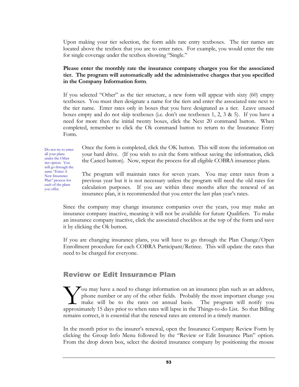Upon making your tier selection, the form adds rate entry textboxes. The tier names are located above the textbox that you are to enter rates. For example, you would enter the rate for single coverage under the textbox showing "Single."

### **Please enter the monthly rate the insurance company charges you for the associated tier. The program will automatically add the administrative charges that you specified in the Company Information form**.

If you selected "Other" as the tier structure, a new form will appear with sixty (60) empty textboxes. You must then designate a name for the tiers and enter the associated rate next to the tier name. Enter rates only in boxes that you have designated as a tier. Leave unused boxes empty and do not skip textboxes (i.e. don't use textboxes 1, 2, 3 & 5). If you have a need for more then the initial twenty boxes, click the Next 20 command button. When completed, remember to click the Ok command button to return to the Insurance Entry Form.

Do not try to enter all your plans under the Other tier option. You will go through the same "Enter A New Insurance Plan" process for each of the plans you offer.

Once the form is completed, click the OK button. This will store the information on your hard drive. (If you wish to exit the form without saving the information, click the Cancel button). Now, repeat the process for all eligible COBRA insurance plans.

The program will maintain rates for seven years. You may enter rates from a previous year but it is not necessary unless the program will need the old rates for calculation purposes. If you are within three months after the renewal of an insurance plan, it is recommended that you enter the last plan year's rates.

Since the company may change insurance companies over the years, you may make an insurance company inactive, meaning it will not be available for future Qualifiers. To make an insurance company inactive, click the associated checkbox at the top of the form and save it by clicking the Ok button.

If you are changing insurance plans, you will have to go through the Plan Change/Open Enrollment procedure for each COBRA Participant/Retiree. This will update the rates that need to be charged for everyone.

### Review or Edit Insurance Plan

 $\sum$  ou may have a need to change information on an insurance plan such as an address, phone number or any of the other fields. Probably the most important change you make will be to the rates on annual basis. The program will notify you Tou may have a need to change information on an insurance plan such as an address, phone number or any of the other fields. Probably the most important change you make will be to the rates on annual basis. The program will remains correct, it is essential that the renewal rates are entered in a timely manner.

In the month prior to the insurer's renewal, open the Insurance Company Review Form by clicking the Group Info Menu followed by the "Review or Edit Insurance Plan" option. From the drop down box, select the desired insurance company by positioning the mouse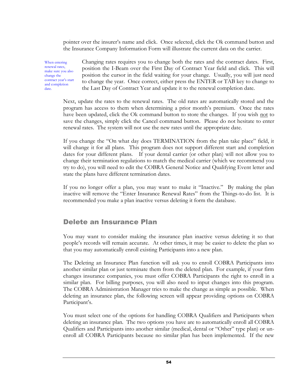pointer over the insurer's name and click. Once selected, click the Ok command button and the Insurance Company Information Form will illustrate the current data on the carrier.

When entering renewal rates, make sure you also change the contract year's start and completion date.

Changing rates requires you to change both the rates and the contract dates. First, position the I-Beam over the First Day of Contract Year field and click. This will position the cursor in the field waiting for your change. Usually, you will just need to change the year. Once correct, either press the ENTER or TAB key to change to the Last Day of Contract Year and update it to the renewal completion date.

Next, update the rates to the renewal rates. The old rates are automatically stored and the program has access to them when determining a prior month's premium. Once the rates have been updated, click the Ok command button to store the changes. If you wish not to save the changes, simply click the Cancel command button. Please do not hesitate to enter renewal rates. The system will not use the new rates until the appropriate date.

If you change the "On what day does TERMINATION from the plan take place" field, it will change it for all plans. This program does not support different start and completion dates for your different plans. If your dental carrier (or other plan) will not allow you to change their termination regulations to match the medical carrier (which we recommend you try to do), you will need to edit the COBRA General Notice and Qualifying Event letter and state the plans have different termination dates.

If you no longer offer a plan, you may want to make it "Inactive." By making the plan inactive will remove the "Enter Insurance Renewal Rates" from the Things-to-do list. It is recommended you make a plan inactive versus deleting it form the database.

### Delete an Insurance Plan

You may want to consider making the insurance plan inactive versus deleting it so that people's records will remain accurate. At other times, it may be easier to delete the plan so that you may automatically enroll existing Participants into a new plan.

The Deleting an Insurance Plan function will ask you to enroll COBRA Participants into another similar plan or just terminate them from the deleted plan. For example, if your firm changes insurance companies, you must offer COBRA Participants the right to enroll in a similar plan. For billing purposes, you will also need to input changes into this program. The COBRA Administration Manager tries to make the change as simple as possible. When deleting an insurance plan, the following screen will appear providing options on COBRA Participant's.

You must select one of the options for handling COBRA Qualifiers and Participants when deleting an insurance plan. The two options you have are to automatically enroll all COBRA Qualifiers and Participants into another similar (medical, dental or "Other" type plan) or unenroll all COBRA Participants because no similar plan has been implemented. If the new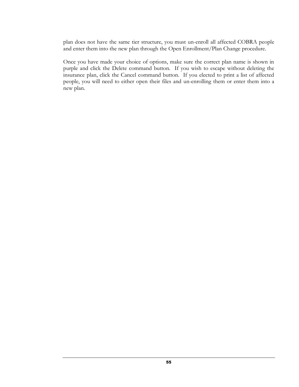plan does not have the same tier structure, you must un-enroll all affected COBRA people and enter them into the new plan through the Open Enrollment/Plan Change procedure.

Once you have made your choice of options, make sure the correct plan name is shown in purple and click the Delete command button. If you wish to escape without deleting the insurance plan, click the Cancel command button. If you elected to print a list of affected people, you will need to either open their files and un-enrolling them or enter them into a new plan.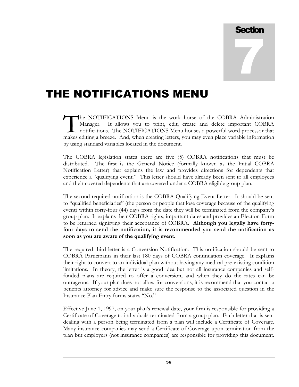# **Section** 7

## THE NOTIFICATIONS MENU

he NOTIFICATIONS Menu is the work horse of the COBRA Administration Manager. It allows you to print, edit, create and delete important COBRA notifications. The NOTIFICATIONS Menu houses a powerful word processor that The NOTIFICATIONS Menu is the work horse of the COBRA Administration Manager. It allows you to print, edit, create and delete important COBRA notifications. The NOTIFICATIONS Menu houses a powerful word processor that make by using standard variables located in the document.

The COBRA legislation states there are five (5) COBRA notifications that must be distributed. The first is the General Notice (formally known as the Initial COBRA Notification Letter) that explains the law and provides directions for dependents that experience a "qualifying event." This letter should have already been sent to all employees and their covered dependents that are covered under a COBRA eligible group plan.

The second required notification is the COBRA Qualifying Event Letter. It should be sent to "qualified beneficiaries" (the person or people that lose coverage because of the qualifying event) within forty-four (44) days from the date they will be terminated from the company's group plan. It explains their COBRA rights, important dates and provides an Election Form to be returned signifying their acceptance of COBRA. **Although you legally have fortyfour days to send the notification, it is recommended you send the notification as soon as you are aware of the qualifying event.**

The required third letter is a Conversion Notification. This notification should be sent to COBRA Participants in their last 180 days of COBRA continuation coverage. It explains their right to convert to an individual plan without having any medical pre-existing condition limitations. In theory, the letter is a good idea but not all insurance companies and selffunded plans are required to offer a conversion, and when they do the rates can be outrageous. If your plan does not allow for conversions, it is recommend that you contact a benefits attorney for advice and make sure the response to the associated question in the Insurance Plan Entry forms states "No."

Effective June 1, 1997, on your plan's renewal date, your firm is responsible for providing a Certificate of Coverage to individuals terminated from a group plan. Each letter that is sent dealing with a person being terminated from a plan will include a Certificate of Coverage. Many insurance companies may send a Certificate of Coverage upon termination from the plan but employers (not insurance companies) are responsible for providing this document.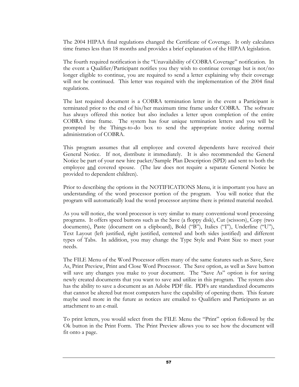The 2004 HIPAA final regulations changed the Certificate of Coverage. It only calculates time frames less than 18 months and provides a brief explanation of the HIPAA legislation.

The fourth required notification is the "Unavailability of COBRA Coverage" notification. In the event a Qualifier/Participant notifies you they wish to continue coverage but is not/no longer eligible to continue, you are required to send a letter explaining why their coverage will not be continued. This letter was required with the implementation of the 2004 final regulations.

The last required document is a COBRA termination letter in the event a Participant is terminated prior to the end of his/her maximum time frame under COBRA. The software has always offered this notice but also includes a letter upon completion of the entire COBRA time frame. The system has four unique termination letters and you will be prompted by the Things-to-do box to send the appropriate notice during normal administration of COBRA.

This program assumes that all employee and covered dependents have received their General Notice. If not, distribute it immediately. It is also recommended the General Notice be part of your new hire packet/Sample Plan Description (SPD) and sent to both the employee and covered spouse. (The law does not require a separate General Notice be provided to dependent children).

Prior to describing the options in the NOTIFICATIONS Menu, it is important you have an understanding of the word processor portion of the program. You will notice that the program will automatically load the word processor anytime there is printed material needed.

As you will notice, the word processor is very similar to many conventional word processing programs. It offers speed buttons such as the Save (a floppy disk), Cut (scissors), Copy (two documents), Paste (document on a clipboard), Bold ("B"), Italics ("I"), Underline ("U"), Text Layout (left justified, right justified, centered and both sides justified) and different types of Tabs. In addition, you may change the Type Style and Point Size to meet your needs.

The FILE Menu of the Word Processor offers many of the same features such as Save, Save As, Print Preview, Print and Close Word Processor. The Save option, as well as Save button will save any changes you make to your document. The "Save As" option is for saving newly created documents that you want to save and utilize in this program. The system also has the ability to save a document as an Adobe PDF file. PDFs are standardized documents that cannot be altered but most computers have the capability of opening them. This feature maybe used more in the future as notices are emailed to Qualifiers and Participants as an attachment to an e-mail.

To print letters, you would select from the FILE Menu the "Print" option followed by the Ok button in the Print Form. The Print Preview allows you to see how the document will fit onto a page.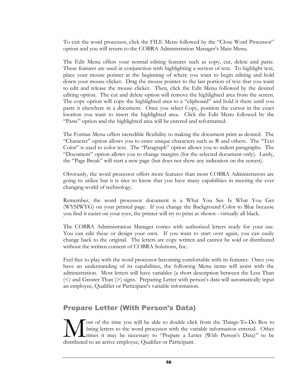To exit the word processor, click the FILE Menu followed by the "Close Word Processor" option and you will return to the COBRA Administration Manager's Main Menu.

The Edit Menu offers your normal editing features such as copy, cut, delete and paste. These features are used in conjunction with highlighting a section of text. To highlight text, place your mouse pointer at the beginning of where you want to begin editing and hold down your mouse clicker. Drag the mouse pointer to the last portion of text that you want to edit and release the mouse clicker. Then, click the Edit Menu followed by the desired editing option. The cut and delete option will remove the highlighted area from the screen. The copy option will copy the highlighted area to a "clipboard" and hold it there until you paste it elsewhere in a document. Once you select Copy, position the cursor in the exact location you want to insert the highlighted area. Click the Edit Menu followed by the "Paste" option and the highlighted area will be entered and reformatted.

The Format Menu offers incredible flexibility to making the document print as desired. The "Character" option allows you to enter unique characters such as ® and others. The "Text Color" is used to color text. The "Paragraph" option allows you to indent paragraphs. The "Document" option allows you to change margins (for the selected document only). Lastly, the "Page Break" will start a new page (but does not show any indication on the screen).

Obviously, the word processor offers more features than most COBRA Administrators are going to utilize but it is nice to know that you have many capabilities in meeting the ever changing world of technology.

Remember, the word processor document is a What You See Is What You Get (WYSIWYG) on your printed page. If you change the Background Color to Blue because you find it easier on your eyes, the printer will try to print as shown - virtually all black.

The COBRA Administration Manager comes with authorized letters ready for your use. You can edit these or design your own. If you want to start over again, you can easily change back to the original. The letters are copy written and cannot be sold or distributed without the written consent of COBRA Solutions, Inc.

Feel free to play with the word processor becoming comfortable with its features. Once you have an understanding of its capabilities, the following Menu items will assist with the administration. Most letters will have variables (a short description between the Less Than  $(\le)$  and Greater Than  $(\ge)$  signs. Preparing Letter with person's data will automatically input an employee, Qualifier or Participant's variable information.

### Prepare Letter (With Person's Data)

ost of the time you will be able to double click from the Things-To-Do Box to bring letters to the word processor with the variable information entered. Other times it may be necessary to "Prepare a Letter (With Person's Data)" to be **distributed** to an active employee, Qualifier or Participant.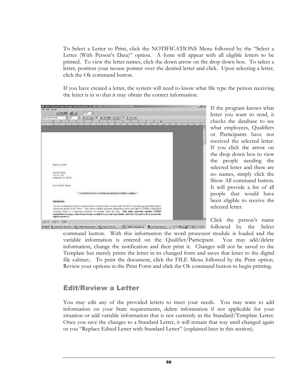To Select a Letter to Print, click the NOTIFICATIONS Menu followed by the "Select a Letter (With Person's Data)" option. A form will appear with all eligible letters to be printed. To view the letter names, click the down arrow on the drop down box. To select a letter, position your mouse pointer over the desired letter and click. Upon selecting a letter, click the Ok command button.

If you have created a letter, the system will need to know what file type the person receiving the letter is in so that it may obtain the correct information.



If the program knows what letter you want to send, it checks the database to see what employees, Qualifiers or Participants have not received the selected letter. If you click the arrow on the drop down box to view the people needing the selected letter and there are no names, simply click the Show All command button. It will provide a list of all people that would have been eligible to receive the selected letter.

Click the person's name followed by the Select

command button. With this information the word processor module is loaded and the variable information is entered on the Qualifier/Participant. You may add/delete information, change the notification and then print it. Changes will not be saved to the Template but merely prints the letter in its changed form and saves that letter to the digital file cabinet.. To print the document, click the FILE Menu followed by the Print option. Review your options in the Print Form and click the Ok command button to begin printing.

### Edit/Review a Letter

You may edit any of the provided letters to meet your needs. You may want to add information on your State requirements, delete information if not applicable for your situation or add variable information that is not currently in the Standard/Template Letter. Once you save the changes to a Standard Letter, it will remain that way until changed again or you "Replace Edited Letter with Standard Letter" (explained later in this section).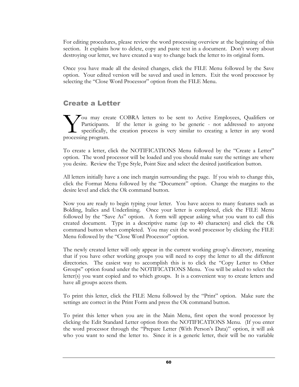For editing procedures, please review the word processing overview at the beginning of this section. It explains how to delete, copy and paste text in a document. Don't worry about destroying our letter, we have created a way to change back the letter to its original form.

Once you have made all the desired changes, click the FILE Menu followed by the Save option. Your edited version will be saved and used in letters. Exit the word processor by selecting the "Close Word Processor" option from the FILE Menu.

### Create a Letter

You may create COBRA letters to be sent to Active Employees, Qualifiers or Participants. If the letter is going to be generic - not addressed to anyone specifically, the creation process is very similar to creating a letter in any word Vou may cre<br>
Participants.<br>
specifically,<br>
processing program.

To create a letter, click the NOTIFICATIONS Menu followed by the "Create a Letter" option. The word processor will be loaded and you should make sure the settings are where you desire. Review the Type Style, Point Size and select the desired justification button.

All letters initially have a one inch margin surrounding the page. If you wish to change this, click the Format Menu followed by the "Document" option. Change the margins to the desire level and click the Ok command button.

Now you are ready to begin typing your letter. You have access to many features such as Bolding, Italics and Underlining. Once your letter is completed, click the FILE Menu followed by the "Save As" option. A form will appear asking what you want to call this created document. Type in a descriptive name (up to 40 characters) and click the Ok command button when completed. You may exit the word processor by clicking the FILE Menu followed by the "Close Word Processor" option.

The newly created letter will only appear in the current working group's directory, meaning that if you have other working groups you will need to copy the letter to all the different directories. The easiest way to accomplish this is to click the "Copy Letter to Other Groups" option found under the NOTIFICATIONS Menu. You will be asked to select the letter(s) you want copied and to which groups. It is a convenient way to create letters and have all groups access them.

To print this letter, click the FILE Menu followed by the "Print" option. Make sure the settings are correct in the Print Form and press the Ok command button.

To print this letter when you are in the Main Menu, first open the word processor by clicking the Edit Standard Letter option from the NOTIFICATIONS Menu. (If you enter the word processor through the "Prepare Letter (With Person's Data)" option, it will ask who you want to send the letter to. Since it is a generic letter, their will be no variable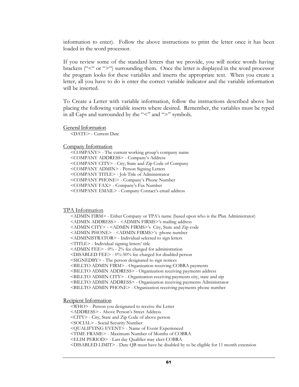information to enter). Follow the above instructions to print the letter once it has been loaded in the word processor.

If you review some of the standard letters that we provide, you will notice words having brackets ("<" or ">") surrounding them. Once the letter is displayed in the word processor the program looks for these variables and inserts the appropriate text. When you create a letter, all you have to do is enter the correct variable indicator and the variable information will be inserted.

To Create a Letter with variable information, follow the instructions described above but placing the following variable inserts where desired. Remember, the variables must be typed in all Caps and surrounded by the "<" and ">" symbols.

General Information

<DATE> - Current Date

### Company Information

<COMPANY> - The current working group's company name <COMPANY ADDRESS> - Company's Address <COMPANY CITY> - City, State and Zip Code of Company <COMPANY ADMIN> - Person Signing Letters <COMPANY TITLE> - Job Title of Administrator <COMPANY PHONE> - Company's Phone Number <COMPANY FAX> - Company's Fax Number <COMPANY EMAIL> - Company Contact's email address

### TPA Information

<ADMIN FIRM> - Either Company or TPA's name (based upon who is the Plan Administrator) <ADMIN ADDRESS> - <ADMIN FIRMS>'s mailing address <ADMIN CITY> - <ADMIN FIRMS>'s City, State and Zip code <ADMIN PHONE> - <ADMIN FIRMS>'s phone number <ADMINISTRATOR> - Individual selected to sign letters <TITLE> - Individual signing letters' title <ADMIN FEE> - 0% - 2% fee charged for administration <DISABLED FEE> - 0%-50% fee charged for disabled person <SIGNEDBY> - The person designated to sign notices <BILLTO ADMIN FIRM> - Organization receiving COBRA payments <BILLTO ADMIN ADDRESS> - Organization receiving payments address <BILLTO ADMIN CITY> - Organization receiving payments city, state and zip <BILLTO ADMIN ADDRESS> - Organization receiving payments Administrator <BILLTO ADMIN PHONE> - Organization receiving payments phone number

Recipient Information

<WHO> - Person you designated to receive the Letter <ADDRESS> - Above Person's Street Address <CITY> - City, State and Zip Code of above person <SOCIAL> - Social Security Number <QUALIFYING EVENT> - Name of Event Experienced <TIME FRAME> - Maximum Number of Months of COBRA <ELIM PERIOD> - Last day Qualifier may elect COBRA <DISABLED LIMIT> - Date QB must have be disabled by to be eligible for 11 month extension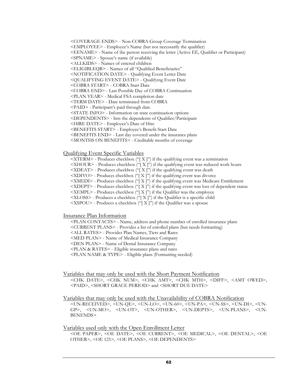<COVERAGE ENDS> - Non-COBRA Group Coverage Termination

<EMPLOYEE> - Employee's Name (but not necessarily the qualifier)

<EENAME> - Name of the person receiving the letter (Active EE, Qualifier or Participant)

<SPNAME> - Spouse's name (if available)

<ALLKIDS> - Names of entered children

<ELIGIBLEQB> - Names of all "Qualified Beneficiaries"

<NOTIFICATION DATE> - Qualifying Event Letter Date

<QUALIFYING EVENT DATE> - Qualifying Event Date

<COBRA START> - COBRA Start Date

<COBRA END> - Last Possible Day of COBRA Continuation

<PLAN YEAR> - Medical FSA completion date

<TERM DATE> - Date terminated from COBRA

<PAID> - Participant's paid through date

<STATE INFO> - Information on state continuation options

<DEPENDENTS> - lists the dependents of Qualifier/Participant

<HIRE DATE> - Employee's Date of Hire

<BENEFITS START> - Employee's Benefit Start Date

<BENEFITS END> - Last day covered under the insurance plans

<MONTHS ON BENEFITS> - Creditable months of coverage

### Qualifying Event Specific Variables

 $\leq$ XTERM $>$  - Produces checkbox ("[X]") if the qualifying event was a termination

 $\leq$ XHOUR $>$  - Produces checkbox ("[X]") if the qualifying event was reduced work hours

 $\langle$ XDEAT> - Produces checkbox ("[X]") if the qualifying event was death

 $\langle$ XDIVO> - Produces checkbox  $\langle$ "[X]") if the qualifying event was divorce

<XMEDI> - Produces checkbox ("[ X ]") if the qualifying event was Medicare Entitlement

 $\langle$ XDEPT $>$  - Produces checkbox ("[ X ]") if the qualifying event was loss of dependent status

 $\langle XEMPL \rangle$  - Produces checkbox ("[ $X$ ]") if the Qualifier was the employee

<XLOSS> - Produces a checkbox ("[ X ]") if the Qualifier is a specific child

 $<$ XSPOU> - Produces a checkbox ("[X]") if the Qualifier was a spouse

Insurance Plan Information

<PLAN CONTACTS> - Name, address and phone number of enrolled insurance plans

<CURRENT PLANS> - Provides a list of enrolled plans (but needs formatting)

<ALL RATES> - Provides Plan Names, Tiers and Rates

<MED PLAN> - Name of Medical Insurance Company

<DEN PLAN> - Name of Dental Insurance Company

<PLAN & RATES> - Eligible insurance plans and rates

<PLAN NAME & TYPE> - Eligible plans (Formatting needed)

Variables that may only be used with the Short Payment Notification

<CHK DATE>, <CHK NUM>, <CHK AMT>, <CHK MTH>, <DIFF>, <AMT OWED>, <PAID>, <SHORT GRACE PERIOD> and <SHORT DUE DATE>

### Variables that may only be used with the Unavailability of COBRA Notification

<UN-RECEIVED>, <UN-QE>, <UN-LO>, <UN-60>, <UN-PA>, <UN-SS>, <UN-DI>, <UN-GP>, <UN-MO>, <UN-OT>, <UN-OTHER>, <UN-DEPTS>, <UN-PLANS>, <UN-BENENDS>

### Variables used only with the Open Enrollment Letter

<OE PAPER>, <OE DATE>, <OE CURRENT>, <OE MEDICAL>, <OE DENTAL>, <OE OTHER>, <OE 125>, <OE PLANS>, <OE DEPENDENTS>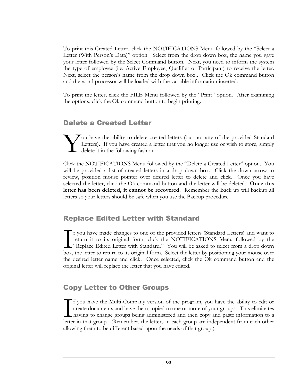To print this Created Letter, click the NOTIFICATIONS Menu followed by the "Select a Letter (With Person's Data)" option. Select from the drop down box, the name you gave your letter followed by the Select Command button. Next, you need to inform the system the type of employee (i.e. Active Employee, Qualifier or Participant) to receive the letter. Next, select the person's name from the drop down box.. Click the Ok command button and the word processor will be loaded with the variable information inserted.

To print the letter, click the FILE Menu followed by the "Print" option. After examining the options, click the Ok command button to begin printing.

### Delete a Created Letter

 $\tau$  ou have the ability to delete created letters (but not any of the provided Standard Letters). If you have created a letter that you no longer use or wish to store, simply delete it in the following fashion. Y

Click the NOTIFICATIONS Menu followed by the "Delete a Created Letter" option. You will be provided a list of created letters in a drop down box. Click the down arrow to review, position mouse pointer over desired letter to delete and click. Once you have selected the letter, click the Ok command button and the letter will be deleted. **Once this letter has been deleted, it cannot be recovered**. Remember the Back up will backup all letters so your letters should be safe when you use the Backup procedure.

### Replace Edited Letter with Standard

f you have made changes to one of the provided letters (Standard Letters) and want to return it to its original form, click the NOTIFICATIONS Menu followed by the "Replace Edited Letter with Standard." You will be asked to select from a drop down box, the letter to return to its original form. Select the letter by positioning your mouse over the desired letter name and click. Once selected, click the Ok command button and the original letter will replace the letter that you have edited.  $\prod_{\text{box.}}$ 

### Copy Letter to Other Groups

f you have the Multi-Company version of the program, you have the ability to edit or create documents and have them copied to one or more of your groups. This eliminates having to change groups being administered and then copy and paste information to a If you have the Multi-Company version of the program, you have the ability to edit or create documents and have them copied to one or more of your groups. This eliminates having to change groups being administered and then allowing them to be different based upon the needs of that group.)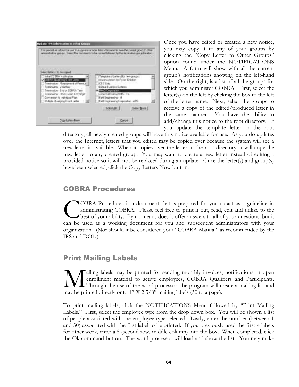

Once you have edited or created a new notice, you may copy it to any of your groups by clicking the "Copy Letter to Other Groups" option found under the NOTIFICATIONS Menu. A form will show with all the current group's notifications showing on the left-hand side. On the right, is a list of all the groups for which you administer COBRA. First, select the letter(s) on the left by clicking the box to the left of the letter name. Next, select the groups to receive a copy of the edited/produced letter in the same manner. You have the ability to add/change this notice to the root directory. If you update the template letter in the root

directory, all newly created groups will have this notice available for use. As you do updates over the Internet, letters that you edited may be copied over because the system will see a new letter is available. When it copies over the letter in the root directory, it will copy the new letter to any created group. You may want to create a new letter instead of editing a provided notice so it will not be replaced during an update. Once the letter(s) and group(s) have been selected, click the Copy Letters Now button.

### COBRA Procedures

OBRA Procedures is a document that is prepared for you to act as a guideline in administrating COBRA. Please feel free to print it out, read, edit and utilize to the best of your ability. By no means does it offer answers to all of your questions, but it COBRA Procedures is a document that is prepared for you to act as a guideline in administrating COBRA. Please feel free to print it out, read, edit and utilize to the best of your ability. By no means does it offer answers organization. (Nor should it be considered your "COBRA Manual" as recommended by the IRS and DOL.)

### Print Mailing Labels

ailing labels may be printed for sending monthly invoices, notifications or open enrollment material to active employees, COBRA Qualifiers and Participants. Through the use of the word processor, the program will create a mailing list and **M** ailing labels may be printed for sending monthly invoices, enrollment material to active employees, COBRA Quali Through the use of the word processor, the program will c may be printed directly onto 1" X 2 5/8" mailing

To print mailing labels, click the NOTIFICATIONS Menu followed by "Print Mailing Labels." First, select the employee type from the drop down box. You will be shown a list of people associated with the employee type selected. Lastly, enter the number (between 1 and 30) associated with the first label to be printed. If you previously used the first 4 labels for other work, enter a 5 (second row, middle column) into the box. When completed, click the Ok command button. The word processor will load and show the list. You may make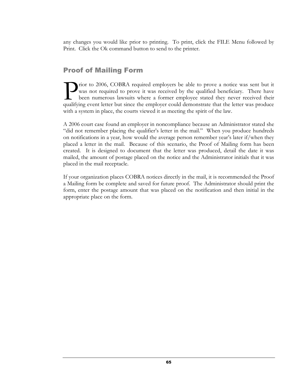any changes you would like prior to printing. To print, click the FILE Menu followed by Print. Click the Ok command button to send to the printer.

### Proof of Mailing Form

rior to 2006, COBRA required employers be able to prove a notice was sent but it was not required to prove it was received by the qualified beneficiary. There have been numerous lawsuits where a former employee stated they never received their The metal complement of the employers be able to prove a notice was sent but it was not required to prove it was received by the qualified beneficiary. There have been numerous lawsuits where a former employee stated they with a system in place, the courts viewed it as meeting the spirit of the law.

A 2006 court case found an employer in noncompliance because an Administrator stated she "did not remember placing the qualifier's letter in the mail." When you produce hundreds on notifications in a year, how would the average person remember year's later if/when they placed a letter in the mail. Because of this scenario, the Proof of Mailing form has been created. It is designed to document that the letter was produced, detail the date it was mailed, the amount of postage placed on the notice and the Administrator initials that it was placed in the mail receptacle.

If your organization places COBRA notices directly in the mail, it is recommended the Proof a Mailing form be complete and saved for future proof. The Administrator should print the form, enter the postage amount that was placed on the notification and then initial in the appropriate place on the form.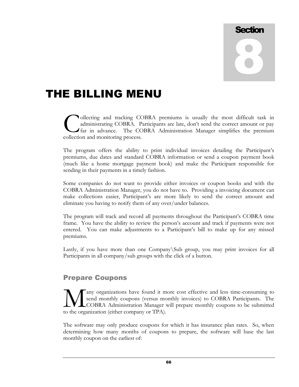# **Section** 8

## THE BILLING MENU

ollecting and tracking COBRA premiums is usually the most difficult task in administrating COBRA. Participants are late, don't send the correct amount or pay far in advance. The COBRA Administration Manager simplifies the premium **C**ollecting and tracking CC<br>administrating COBRA. P<br>far in advance. The CC<br>collection and monitoring process.

The program offers the ability to print individual invoices detailing the Participant's premiums, due dates and standard COBRA information or send a coupon payment book (much like a home mortgage payment book) and make the Participant responsible for sending in their payments in a timely fashion.

Some companies do not want to provide either invoices or coupon books and with the COBRA Administration Manager, you do not have to. Providing a invoicing document can make collections easier, Participant's are more likely to send the correct amount and eliminate you having to notify them of any over/under balances.

The program will track and record all payments throughout the Participant's COBRA time frame. You have the ability to review the person's account and track if payments were not entered. You can make adjustments to a Participant's bill to make up for any missed premiums.

Lastly, if you have more than one Company\Sub group, you may print invoices for all Participants in all company/sub groups with the click of a button.

### Prepare Coupons

any organizations have found it more cost effective and less time-consuming to send monthly coupons (versus monthly invoices) to COBRA Participants. The COBRA Administration Manager will prepare monthly coupons to be submitted Many organizations have found it m<br>
send monthly coupons (versus models)<br>
to the organization (either company or TPA).

The software may only produce coupons for which it has insurance plan rates. So, when determining how many months of coupons to prepare, the software will base the last monthly coupon on the earliest of: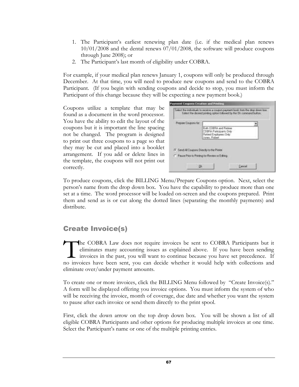- 1. The Participant's earliest renewing plan date (i.e. if the medical plan renews 10/01/2008 and the dental renews 07/01/2008, the software will produce coupons through June 2008); or
- 2. The Participant's last month of eligibility under COBRA.

For example, if your medical plan renews January 1, coupons will only be produced through December. At that time, you will need to produce new coupons and send to the COBRA Participant. (If you begin with sending coupons and decide to stop, you must inform the Participant of this change because they will be expecting a new payment book.)

Coupons utilize a template that may be found as a document in the word processor. You have the ability to edit the layout of the coupons but it is important the line spacing not be changed. The program is designed to print out three coupons to a page so that they may be cut and placed into a booklet arrangement. If you add or delete lines in the template, the coupons will not print out correctly.

| Prepare Coupons for                        |                                                  |
|--------------------------------------------|--------------------------------------------------|
|                                            | <b>Both COERA and Redeas</b>                     |
|                                            | CUBFIA Parkogants Driv<br>Retired Employees Only |
|                                            | Jones, Ridgest                                   |
|                                            |                                                  |
| IF Sand All Coupons Directly to the Presis |                                                  |

To produce coupons, click the BILLING Menu/Prepare Coupons option. Next, select the person's name from the drop down box. You have the capability to produce more than one set at a time. The word processor will be loaded on-screen and the coupons prepared. Print them and send as is or cut along the dotted lines (separating the monthly payments) and distribute.

## Create Invoice(s)

he COBRA Law does not require invoices be sent to COBRA Participants but it eliminates many accounting issues as explained above. If you have been sending invoices in the past, you will want to continue because you have set precedence. If no invoices have been sent, you can decide whether it would help with collections and eliminate over/under payment amounts. T<br>no inve

To create one or more invoices, click the BILLING Menu followed by "Create Invoice(s)." A form will be displayed offering you invoice options. You must inform the system of who will be receiving the invoice, month of coverage, due date and whether you want the system to pause after each invoice or send them directly to the print spool.

First, click the down arrow on the top drop down box. You will be shown a list of all eligible COBRA Participants and other options for producing multiple invoices at one time. Select the Participant's name or one of the multiple printing entries.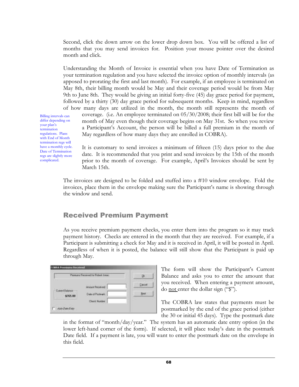Second, click the down arrow on the lower drop down box. You will be offered a list of months that you may send invoices for. Position your mouse pointer over the desired month and click.

Understanding the Month of Invoice is essential when you have Date of Termination as your termination regulation and you have selected the invoice option of monthly intervals (as apposed to prorating the first and last month). For example, if an employee is terminated on May 8th, their billing month would be May and their coverage period would be from May 9th to June 8th. They would be giving an initial forty-five (45) day grace period for payment, followed by a thirty (30) day grace period for subsequent months. Keep in mind, regardless of how many days are utilized in the month, the month still represents the month of

Billing intervals can differ depending on your plan's termination regulations. Plans with End of Month termination regs will have a monthly cycle. Date of Termination regs are slightly more complicated.

coverage. (i.e. An employee terminated on 05/30/2008; their first bill will be for the month of May even though their coverage begins on May 31st. So when you review a Participant's Account, the person will be billed a full premium in the month of May regardless of how many days they are enrolled in COBRA).

It is customary to send invoices a minimum of fifteen (15) days prior to the due date. It is recommended that you print and send invoices by the 15th of the month prior to the month of coverage. For example, April's Invoices should be sent by March 15th.

The invoices are designed to be folded and stuffed into a #10 window envelope. Fold the invoices, place them in the envelope making sure the Participant's name is showing through the window and send.

## Received Premium Payment

As you receive premium payment checks, you enter them into the program so it may track payment history. Checks are entered in the month that they are received. For example, if a Participant is submitting a check for May and it is received in April, it will be posted in April. Regardless of when it is posted, the balance will still show that the Participant is paid up through May.

| Persons Feceived for Robert Jones  |                                                                |      |
|------------------------------------|----------------------------------------------------------------|------|
| <b>Control Spinson</b><br>\$765.00 | <b>Januard Received</b><br>Date of Pottmark<br>Clintic Nurdire | time |

The form will show the Participant's Current Balance and asks you to enter the amount that you received. When entering a payment amount, do not enter the dollar sign ("\$").

The COBRA law states that payments must be postmarked by the end of the grace period (either the 30 or initial 45 days). Type the postmark date

in the format of "month/day/year." The system has an automatic date entry option (in the lower left-hand corner of the form). If selected, it will place today's date in the postmark Date field. If a payment is late, you will want to enter the postmark date on the envelope in this field.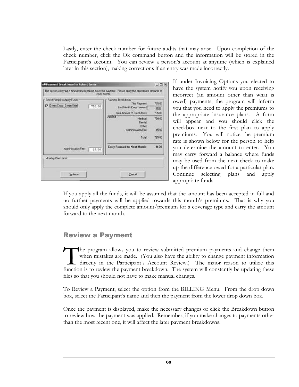Lastly, enter the check number for future audits that may arise. Upon completion of the check number, click the Ok command button and the information will be stored in the Participant's account. You can review a person's account at anytime (which is explained later in this section), making corrections if an entry was made incorrectly.

| Payment Dreakdown for Robert Jones                                                                                        |                                                    | <b>ADIX</b> |
|---------------------------------------------------------------------------------------------------------------------------|----------------------------------------------------|-------------|
| The gatem is having a difficult lime breaking down this payment. Please apply the appropriate amounts to<br>each benefit. |                                                    |             |
| - Select Plank) to Apply Funds -                                                                                          | Paintent Breakdown                                 |             |
| F Green Closs, Green Stiel<br>750.00                                                                                      | The Payment                                        | 705.00      |
|                                                                                                                           | Last Month Carp Forward                            | 0.00        |
|                                                                                                                           | Total Amount to Breakdown                          | 795.00      |
|                                                                                                                           | Applied<br><b>Nedcal</b><br>Derest<br><b>Other</b> | 750.00      |
|                                                                                                                           | Administration Free                                | 15.00       |
|                                                                                                                           | Total                                              | 765.00      |
| Administration Fee<br>$-25.00$                                                                                            | Cany Forward to Next Month:                        | 0.00        |
| Monthly Plan Rates:                                                                                                       |                                                    |             |
|                                                                                                                           |                                                    |             |

If under Invoicing Options you elected to have the system notify you upon receiving incorrect (an amount other than what is owed) payments, the program will inform you that you need to apply the premiums to the appropriate insurance plans. A form will appear and you should click the checkbox next to the first plan to apply premiums. You will notice the premium rate is shown below for the person to help you determine the amount to enter. You may carry forward a balance where funds may be used from the next check to make up the difference owed for a particular plan. Continue selecting plans and apply appropriate funds.

If you apply all the funds, it will be assumed that the amount has been accepted in full and no further payments will be applied towards this month's premiums. That is why you should only apply the complete amount/premium for a coverage type and carry the amount forward to the next month.

## Review a Payment

he program allows you to review submitted premium payments and change them when mistakes are made. (You also have the ability to change payment information directly in the Participant's Account Review.) The major reason to utilize this The program allows you to review submitted premium payments and change them when mistakes are made. (You also have the ability to change payment information directly in the Participant's Account Review.) The major reason t files so that you should not have to make manual changes.

To Review a Payment, select the option from the BILLING Menu. From the drop down box, select the Participant's name and then the payment from the lower drop down box.

Once the payment is displayed, make the necessary changes or click the Breakdown button to review how the payment was applied. Remember, if you make changes to payments other than the most recent one, it will affect the later payment breakdowns.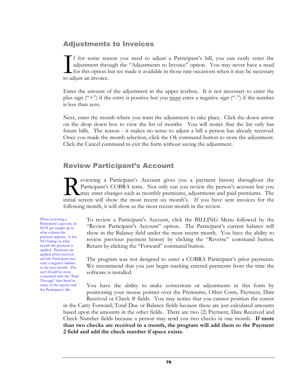## Adjustments to Invoices

f for some reason you need to adjust a Participant's bill, you can easily enter the adjustment through the "Adjustments to Invoice" option. You may never have a need for this option but we made it available in those rare occasions when it may be necessary If for some reading adjustment through<br>for this option to adjust an invoice.

Enter the amount of the adjustment in the upper textbox. It is not necessary to enter the plus sign  $(4")$  if the entry is positive but you <u>must</u> enter a negative sign  $(4")$  if the number is less than zero.

Next, enter the month where you want the adjustment to take place. Click the down arrow on the drop down box to view the list of months. You will notice that the list only has future bills. The reason - it makes no sense to adjust a bill a person has already received. Once you made the month selection, click the Ok command button to store the adjustment. Click the Cancel command to exit the form without saving the adjustment.

## Review Participant's Account

eviewing a Participant's Account gives you a payment history throughout the Participant's COBRA term. Not only can you review the person's account but you may enter changes such as monthly premiums, adjustments and paid premiums. The eviewing a Participant's Account gives you a payment history throughout the Participant's COBRA term. Not only can you review the person's account but you may enter changes such as monthly premiums, adjustments and paid pr following month, it will show as the most recent month in the review.

When reviewing a Participant's account, do NOT get caught up in what column the payment appears. It has NO baring on what month the payment is applied. Payments are applied when received and the Participant may carry a negative balance to the next month. The user should be more concerned with the "Paid Through" date listed in many of the reports and the Participant's file.

To review a Participant's Account, click the BILLING Menu followed by the "Review Participant's Account" option. The Participant's current balance will show in the Balance field under the most recent month. You have the ability to review previous payment history by clicking the "Reverse" command button. Return by clicking the "Forward" command button.

The program was not designed to enter a COBRA Participant's prior payments. We recommend that you just begin tracking entered payments from the time the software is installed.

You have the ability to make corrections or adjustments in this form by positioning your mouse pointer over the Premiums, Other Costs, Payment, Date

Received or Check # fields. You may notice that you cannot position the cursor in the Carry Forward, Total Due or Balance fields because these are just calculated amounts based upon the amounts in the other fields. There are two (2) Payment, Date Received and Check Number fields because a person may send you two checks in one month. **If more than two checks are received in a month, the program will add them to the Payment 2 field and add the check number if space exists.**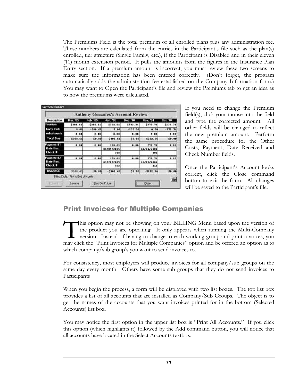The Premiums Field is the total premium of all enrolled plans plus any administration fee. These numbers are calculated from the entries in the Participant's file such as the plan(s) enrolled, tier structure (Single Family, etc.), if the Participant is Disabled and in their eleven (11) month extension period. It pulls the amounts from the figures in the Insurance Plan Entry section. If a premium amount is incorrect, you must review these two screens to make sure the information has been entered correctly. (Don't forget, the program automatically adds the administration fee established on the Company Information form.) You may want to Open the Participant's file and review the Premiums tab to get an idea as to how the premiums were calculated.

|                    |                                       |           | <b>Anthony Gonzales's Account Review</b> |          |            |                 |
|--------------------|---------------------------------------|-----------|------------------------------------------|----------|------------|-----------------|
| <b>Description</b> | Mar. 105                              | Feb. 105  | Jan. 105                                 | Dec. TH  | Nov. 04    | <b>Oct. '04</b> |
| Premirum           | \$108.61                              | CORR.61   | \$108.65                                 | \$232.34 | \$272.74   | \$232.34        |
| <b>Carry Fwd.</b>  | 0.00                                  | $-000.61$ | 0.00                                     | :272.74  | 0.00       | $-272.74$       |
| Adjustments        | 0.01                                  | 0.40      | 0.00                                     | 0.00     | $a$ , $ba$ | 6,06            |
| Total Due          | 5709.65                               | 50.00     | \$309.61                                 | 59.90    | \$272.74   | 50.00           |
| Payment 11         | 0.01                                  | 0.00      | 103.61                                   | 0.00     | 272.76     | 8.00            |
| Date Rec.          |                                       |           | 01/05/2805                               |          | 11/01/2504 |                 |
| Check <sub>#</sub> |                                       |           | 340                                      |          | 303        |                 |
| Pagment 82         | 0.01                                  | 0.40      | 103.61                                   | 0.00     | 272.74     | 0.00            |
| Date Rec.          |                                       |           | 01/28/2805                               |          | 11/29/2006 |                 |
| Check #            |                                       |           | 352                                      |          | 316        |                 |
| <b>BALANCE</b>     | 5308.63                               | 50.00     | $-5308.61$                               | 59.80    | $-5272.74$ | 59.98           |
|                    | Billing Eagle: First to End of Month. |           |                                          |          |            | ē               |

If you need to change the Premium field(s), click your mouse into the field and type the corrected amount. All other fields will be changed to reflect the new premium amount. Perform the same procedure for the Other Costs, Payment, Date Received and Check Number fields.

Once the Participant's Account looks correct, click the Close command button to exit the form. All changes will be saved to the Participant's file.

## Print Invoices for Multiple Companies

his option may not be showing on your BILLING Menu based upon the version of the product you are operating. It only appears when running the Multi-Company version. Instead of having to change to each working group and print invoices, you may click the "Print Invoices for Multiple Companies" option and be offered an option as to which company/sub group's you want to send invoices to. T<br>may clip

For consistency, most employers will produce invoices for all company/sub groups on the same day every month. Others have some sub groups that they do not send invoices to Participants

When you begin the process, a form will be displayed with two list boxes. The top list box provides a list of all accounts that are installed as Company/Sub Groups. The object is to get the names of the accounts that you want invoices printed for in the bottom (Selected Accounts) list box.

You may notice the first option in the upper list box is "Print All Accounts." If you click this option (which highlights it) followed by the Add command button, you will notice that all accounts have located in the Select Accounts textbox.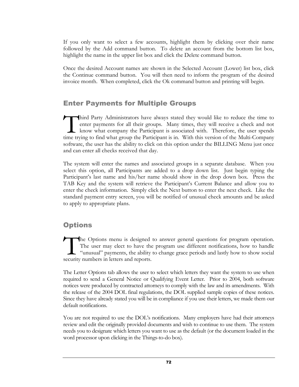If you only want to select a few accounts, highlight them by clicking over their name followed by the Add command button. To delete an account from the bottom list box, highlight the name in the upper list box and click the Delete command button.

Once the desired Account names are shown in the Selected Account (Lower) list box, click the Continue command button. You will then need to inform the program of the desired invoice month. When completed, click the Ok command button and printing will begin.

## Enter Payments for Multiple Groups

hird Party Administrators have always stated they would like to reduce the time to enter payments for all their groups. Many times, they will receive a check and not know what company the Participant is associated with. Therefore, the user spends Third Party Administrators have always stated they would like to reduce the time to enter payments for all their groups. Many times, they will receive a check and not know what company the Participant is associated with. T software, the user has the ability to click on this option under the BILLING Menu just once and can enter all checks received that day.

The system will enter the names and associated groups in a separate database. When you select this option, all Participants are added to a drop down list. Just begin typing the Participant's last name and his/her name should show in the drop down box. Press the TAB Key and the system will retrieve the Participant's Current Balance and allow you to enter the check information. Simply click the Next button to enter the next check. Like the standard payment entry screen, you will be notified of unusual check amounts and be asked to apply to appropriate plans.

## **Options**

he Options menu is designed to answer general questions for program operation. The user may elect to have the program use different notifications, how to handle "unusual" payments, the ability to change grace periods and lastly how to show social The Options menu is designed<br>The user may elect to have the<br>"unusual" payments, the ability<br>security numbers in letters and reports.

The Letter Options tab allows the user to select which letters they want the system to use when required to send a General Notice or Qualifying Event Letter. Prior to 2004, both software notices were produced by contracted attorneys to comply with the law and its amendments. With the release of the 2004 DOL final regulations, the DOL supplied sample copies of these notices. Since they have already stated you will be in compliance if you use their letters, we made them our default notifications.

You are not required to use the DOL's notifications. Many employers have had their attorneys review and edit the originally provided documents and wish to continue to use them. The system needs you to designate which letters you want to use as the default (or the document loaded in the word processor upon clicking in the Things-to-do box).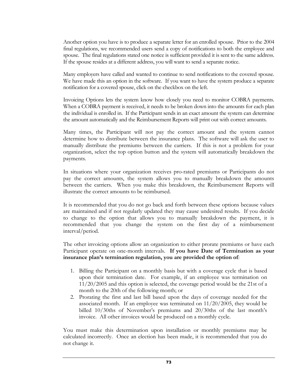Another option you have is to produce a separate letter for an enrolled spouse. Prior to the 2004 final regulations, we recommended users send a copy of notifications to both the employee and spouse. The final regulations stated one notice is sufficient provided it is sent to the same address. If the spouse resides at a different address, you will want to send a separate notice.

Many employers have called and wanted to continue to send notifications to the covered spouse. We have made this an option in the software. If you want to have the system produce a separate notification for a covered spouse, click on the checkbox on the left.

Invoicing Options lets the system know how closely you need to monitor COBRA payments. When a COBRA payment is received, it needs to be broken down into the amounts for each plan the individual is enrolled in. If the Participant sends in an exact amount the system can determine the amount automatically and the Reimbursement Reports will print out with correct amounts.

Many times, the Participant will not pay the correct amount and the system cannot determine how to distribute between the insurance plans. The software will ask the user to manually distribute the premiums between the carriers. If this is not a problem for your organization, select the top option button and the system will automatically breakdown the payments.

In situations where your organization receives pro-rated premiums or Participants do not pay the correct amounts, the system allows you to manually breakdown the amounts between the carriers. When you make this breakdown, the Reimbursement Reports will illustrate the correct amounts to be reimbursed.

It is recommended that you do not go back and forth between these options because values are maintained and if not regularly updated they may cause undesired results. If you decide to change to the option that allows you to manually breakdown the payment, it is recommended that you change the system on the first day of a reimbursement interval/period.

The other invoicing options allow an organization to either prorate premiums or have each Participant operate on one-month intervals. **If you have Date of Termination as your insurance plan's termination regulation, you are provided the option of**:

- 1. Billing the Participant on a monthly basis but with a coverage cycle that is based upon their termination date. For example, if an employee was termination on 11/20/2005 and this option is selected, the coverage period would be the 21st of a month to the 20th of the following month; or
- 2. Prorating the first and last bill based upon the days of coverage needed for the associated month. If an employee was terminated on 11/20/2005, they would be billed 10/30ths of November's premiums and 20/30ths of the last month's invoice. All other invoices would be produced on a monthly cycle.

You must make this determination upon installation or monthly premiums may be calculated incorrectly. Once an election has been made, it is recommended that you do not change it.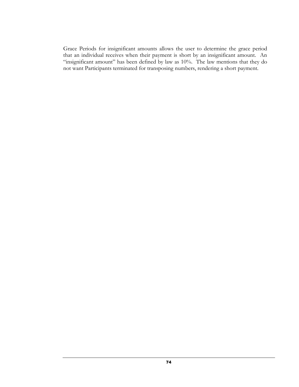Grace Periods for insignificant amounts allows the user to determine the grace period that an individual receives when their payment is short by an insignificant amount. An "insignificant amount" has been defined by law as 10%. The law mentions that they do not want Participants terminated for transposing numbers, rendering a short payment.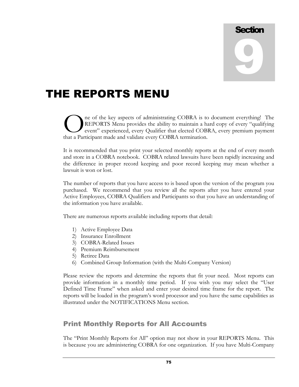# **Section** 9

## THE REPORTS MENU

ne of the key aspects of administrating COBRA is to document everything! The REPORTS Menu provides the ability to maintain a hard copy of every "qualifying event" experienced, every Qualifier that elected COBRA, every premium payment The of the key aspects of administrating COBRA is to REPORTS Menu provides the ability to maintain a hevent" experienced, every Qualifier that elected COB that a Participant made and validate every COBRA termination.

It is recommended that you print your selected monthly reports at the end of every month and store in a COBRA notebook. COBRA related lawsuits have been rapidly increasing and the difference in proper record keeping and poor record keeping may mean whether a lawsuit is won or lost.

The number of reports that you have access to is based upon the version of the program you purchased. We recommend that you review all the reports after you have entered your Active Employees, COBRA Qualifiers and Participants so that you have an understanding of the information you have available.

There are numerous reports available including reports that detail:

- 1) Active Employee Data
- 2) Insurance Enrollment
- 3) COBRA-Related Issues
- 4) Premium Reimbursement
- 5) Retiree Data
- 6) Combined Group Information (with the Multi-Company Version)

Please review the reports and determine the reports that fit your need. Most reports can provide information in a monthly time period. If you wish you may select the "User Defined Time Frame" when asked and enter your desired time frame for the report. The reports will be loaded in the program's word processor and you have the same capabilities as illustrated under the NOTIFICATIONS Menu section.

## Print Monthly Reports for All Accounts

The "Print Monthly Reports for All" option may not show in your REPORTS Menu. This is because you are administering COBRA for one organization. If you have Multi-Company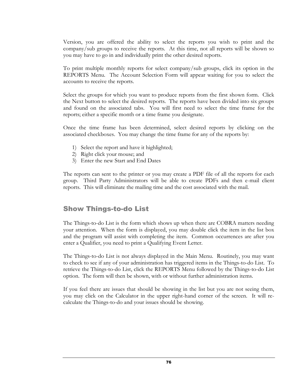Version, you are offered the ability to select the reports you wish to print and the company/sub groups to receive the reports. At this time, not all reports will be shown so you may have to go in and individually print the other desired reports.

To print multiple monthly reports for select company/sub groups, click its option in the REPORTS Menu. The Account Selection Form will appear waiting for you to select the accounts to receive the reports.

Select the groups for which you want to produce reports from the first shown form. Click the Next button to select the desired reports. The reports have been divided into six groups and found on the associated tabs. You will first need to select the time frame for the reports; either a specific month or a time frame you designate.

Once the time frame has been determined, select desired reports by clicking on the associated checkboxes. You may change the time frame for any of the reports by:

- 1) Select the report and have it highlighted;
- 2) Right click your mouse; and
- 3) Enter the new Start and End Dates

The reports can sent to the printer or you may create a PDF file of all the reports for each group. Third Party Administrators will be able to create PDFs and then e-mail client reports. This will eliminate the mailing time and the cost associated with the mail.

### Show Things-to-do List

The Things-to-do List is the form which shows up when there are COBRA matters needing your attention. When the form is displayed, you may double click the item in the list box and the program will assist with completing the item. Common occurrences are after you enter a Qualifier, you need to print a Qualifying Event Letter.

The Things-to-do List is not always displayed in the Main Menu. Routinely, you may want to check to see if any of your administration has triggered items in the Things-to-do List. To retrieve the Things-to-do List, click the REPORTS Menu followed by the Things-to-do List option. The form will then be shown, with or without further administration items.

If you feel there are issues that should be showing in the list but you are not seeing them, you may click on the Calculator in the upper right-hand corner of the screen. It will recalculate the Things-to-do and your issues should be showing.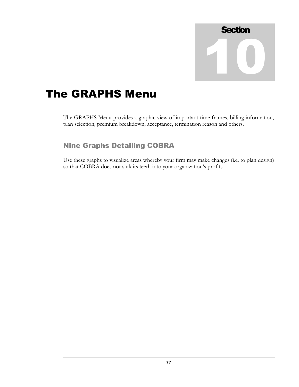

## The GRAPHS Menu

The GRAPHS Menu provides a graphic view of important time frames, billing information, plan selection, premium breakdown, acceptance, termination reason and others.

## Nine Graphs Detailing COBRA

Use these graphs to visualize areas whereby your firm may make changes (i.e. to plan design) so that COBRA does not sink its teeth into your organization's profits.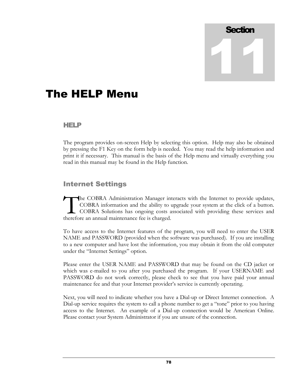# **Section** 11

## The HELP Menu

### HELP

The program provides on-screen Help by selecting this option. Help may also be obtained by pressing the F1 Key on the form help is needed. You may read the help information and print it if necessary. This manual is the basis of the Help menu and virtually everything you read in this manual may be found in the Help function.

## Internet Settings

he COBRA Administration Manager interacts with the Internet to provide updates, COBRA information and the ability to upgrade your system at the click of a button. COBRA Solutions has ongoing costs associated with providing these services and The COBRA Administration Manager in<br>
COBRA information and the ability to<br>
COBRA Solutions has ongoing costs atherefore an annual maintenance fee is charged.

To have access to the Internet features of the program, you will need to enter the USER NAME and PASSWORD (provided when the software was purchased). If you are installing to a new computer and have lost the information, you may obtain it from the old computer under the "Internet Settings" option.

Please enter the USER NAME and PASSWORD that may be found on the CD jacket or which was e-mailed to you after you purchased the program. If your USERNAME and PASSWORD do not work correctly, please check to see that you have paid your annual maintenance fee and that your Internet provider's service is currently operating.

Next, you will need to indicate whether you have a Dial-up or Direct Internet connection. A Dial-up service requires the system to call a phone number to get a "tone" prior to you having access to the Internet. An example of a Dial-up connection would be American Online. Please contact your System Administrator if you are unsure of the connection.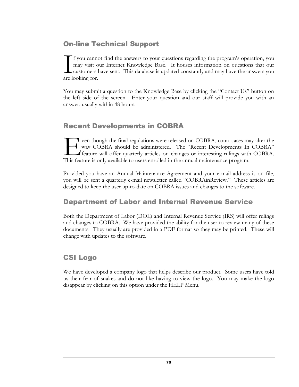## On-line Technical Support

f you cannot find the answers to your questions regarding the program's operation, you may visit our Internet Knowledge Base. It houses information on questions that our customers have sent. This database is updated constantly and may have the answers you If you canne<br>
may visit c<br>
customers<br>
are looking for.

You may submit a question to the Knowledge Base by clicking the "Contact Us" button on the left side of the screen. Enter your question and our staff will provide you with an answer, usually within 48 hours.

## Recent Developments in COBRA

ven though the final regulations were released on COBRA, court cases may alter the way COBRA should be administered. The "Recent Developments In COBRA" feature will offer quarterly articles on changes or interesting rulings with COBRA. This feature will offer quarterly articles on conservative methods. The "Recent Developments In feature will offer quarterly articles on changes or interesting rulings with This feature is only available to users enrolled

Provided you have an Annual Maintenance Agreement and your e-mail address is on file, you will be sent a quarterly e-mail newsletter called "COBRAinReview." These articles are designed to keep the user up-to-date on COBRA issues and changes to the software.

## Department of Labor and Internal Revenue Service

Both the Department of Labor (DOL) and Internal Revenue Service (IRS) will offer rulings and changes to COBRA. We have provided the ability for the user to review many of these documents. They usually are provided in a PDF format so they may be printed. These will change with updates to the software.

## CSI Logo

We have developed a company logo that helps describe our product. Some users have told us their fear of snakes and do not like having to view the logo. You may make the logo disappear by clicking on this option under the HELP Menu.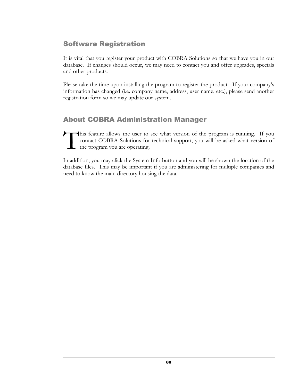## Software Registration

It is vital that you register your product with COBRA Solutions so that we have you in our database. If changes should occur, we may need to contact you and offer upgrades, specials and other products.

Please take the time upon installing the program to register the product. If your company's information has changed (i.e. company name, address, user name, etc.), please send another registration form so we may update our system.

## About COBRA Administration Manager

his feature allows the user to see what version of the program is running. If you contact COBRA Solutions for technical support, you will be asked what version of the program you are operating. T

In addition, you may click the System Info button and you will be shown the location of the database files. This may be important if you are administering for multiple companies and need to know the main directory housing the data.